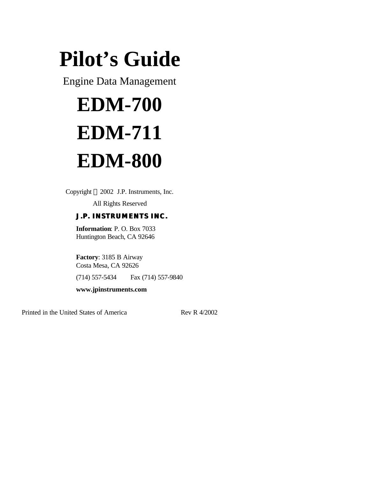# **Pilot's Guide**

Engine Data Management

# **EDM-700 EDM-711 EDM-800**

Copyright  $© 2002$  J.P. Instruments, Inc.

All Rights Reserved

# *J.P. INSTRUMENTS INC.*

**Information**: P. O. Box 7033 Huntington Beach, CA 92646

**Factory**: 3185 B Airway Costa Mesa, CA 92626

(714) 557-5434 Fax (714) 557-9840

**www.jpinstruments.com**

Printed in the United States of America Rev R 4/2002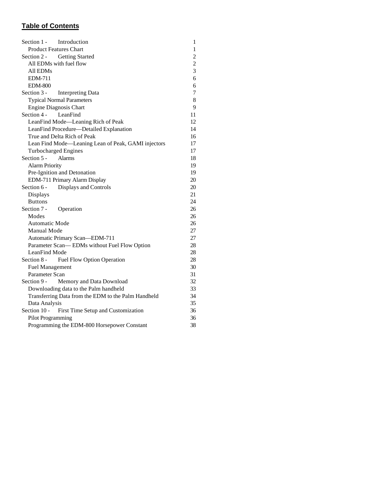# **Table of Contents**

| Section 1 -<br>Introduction                         | $\mathbf{1}$   |
|-----------------------------------------------------|----------------|
| <b>Product Features Chart</b>                       | $\mathbf{1}$   |
| Section 2 -<br><b>Getting Started</b>               | $\overline{c}$ |
| All EDMs with fuel flow                             | $\overline{c}$ |
| All EDMs                                            | 3              |
| <b>EDM-711</b>                                      | 6              |
| <b>EDM-800</b>                                      | 6              |
| Section 3 -<br><b>Interpreting Data</b>             | $\overline{7}$ |
| <b>Typical Normal Parameters</b>                    | 8              |
| <b>Engine Diagnosis Chart</b>                       | 9              |
| Section 4 -<br>LeanFind                             | 11             |
| LeanFind Mode-Leaning Rich of Peak                  | 12             |
| LeanFind Procedure-Detailed Explanation             | 14             |
| True and Delta Rich of Peak                         | 16             |
| Lean Find Mode-Leaning Lean of Peak, GAMI injectors | 17             |
| <b>Turbocharged Engines</b>                         | 17             |
| Section 5 -<br><b>Alarms</b>                        | 18             |
| <b>Alarm Priority</b>                               | 19             |
| Pre-Ignition and Detonation                         | 19             |
| EDM-711 Primary Alarm Display                       | 20             |
| Section 6 -<br>Displays and Controls                | 20             |
| Displays                                            | 21             |
| <b>Buttons</b>                                      | 24             |
| Section 7 -<br>Operation                            | 26             |
| Modes                                               | 26             |
| <b>Automatic Mode</b>                               | 26             |
| Manual Mode                                         | 27             |
| Automatic Primary Scan-EDM-711                      | 27             |
| Parameter Scan-EDMs without Fuel Flow Option        | 28             |
| LeanFind Mode                                       | 28             |
| Section 8 -<br>Fuel Flow Option Operation           | 28             |
| <b>Fuel Management</b>                              | 30             |
| Parameter Scan                                      | 31             |
| Section 9 -<br>Memory and Data Download             | 32             |
| Downloading data to the Palm handheld               | 33             |
| Transferring Data from the EDM to the Palm Handheld | 34             |
| Data Analysis                                       | 35             |
| Section 10 -<br>First Time Setup and Customization  | 36             |
| Pilot Programming                                   | 36             |
| Programming the EDM-800 Horsepower Constant         | 38             |
|                                                     |                |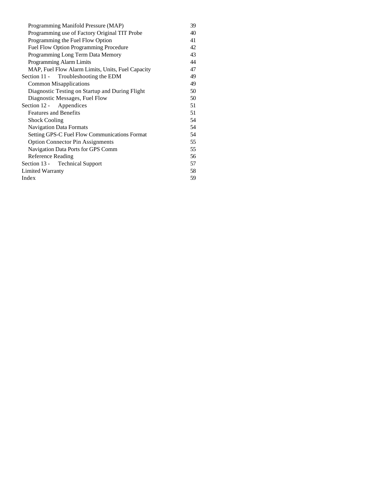| Programming Manifold Pressure (MAP)               | 39 |
|---------------------------------------------------|----|
| Programming use of Factory Original TIT Probe     | 40 |
| Programming the Fuel Flow Option                  | 41 |
| Fuel Flow Option Programming Procedure            | 42 |
| Programming Long Term Data Memory                 | 43 |
| Programming Alarm Limits                          | 44 |
| MAP, Fuel Flow Alarm Limits, Units, Fuel Capacity | 47 |
| Section 11 - Troubleshooting the EDM              | 49 |
| <b>Common Misapplications</b>                     | 49 |
| Diagnostic Testing on Startup and During Flight   | 50 |
| Diagnostic Messages, Fuel Flow                    | 50 |
| Section 12 - Appendices                           | 51 |
| <b>Features and Benefits</b>                      | 51 |
| <b>Shock Cooling</b>                              | 54 |
| <b>Navigation Data Formats</b>                    | 54 |
| Setting GPS-C Fuel Flow Communications Format     | 54 |
| <b>Option Connector Pin Assignments</b>           | 55 |
| Navigation Data Ports for GPS Comm                | 55 |
| Reference Reading                                 | 56 |
| Section 13 - Technical Support                    | 57 |
| Limited Warranty                                  | 58 |
| Index                                             | 59 |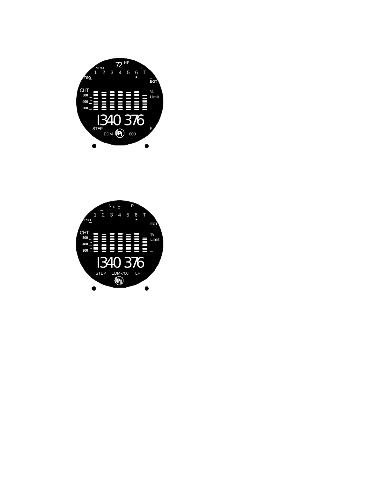

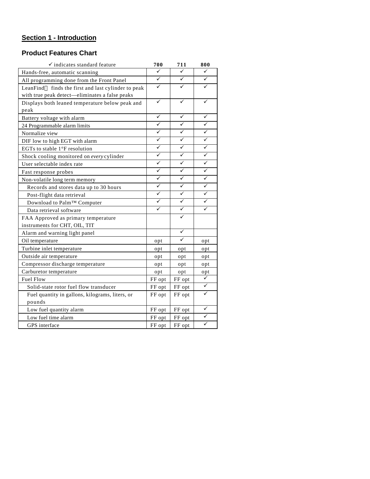# **Section 1 - Introduction**

# **Product Features Chart**

| $\checkmark$ indicates standard feature             | 700    | 711    | 800 |
|-----------------------------------------------------|--------|--------|-----|
| Hands-free, automatic scanning                      | ✓      | ✓      | ✓   |
| All programming done from the Front Panel           | ✓      | ✓      | ✓   |
| LeanFind™ finds the first and last cylinder to peak | ✓      | ✓      |     |
| with true peak detect-eliminates a false peaks      |        |        |     |
| Displays both leaned temperature below peak and     | ✓      |        |     |
| peak                                                |        |        |     |
| Battery voltage with alarm                          | ✓      | ✓      | ✓   |
| 24 Programmable alarm limits                        | ✓      | ✓      | ✓   |
| Normalize view                                      | ✓      | ✓      | ✓   |
| DIF low to high EGT with alarm                      | ✓      | ✓      | ✓   |
| EGTs to stable $1^{\circ}$ F resolution             | ✓      | ✓      | ✓   |
| Shock cooling monitored on every cylinder           | ✓      | ✓      | ✓   |
| User selectable index rate                          | ✓      | ✓      | ✓   |
| Fast response probes                                | ✓      | ✓      | ✓   |
| Non-volatile long term memory                       | ✓      | ✓      | ✓   |
| Records and stores data up to 30 hours              | ✓      | ✓      | ✓   |
| Post-flight data retrieval                          | ✓      | ✓      | ✓   |
| Download to Palm™ Computer                          | ✓      | ✓      |     |
| Data retrieval software                             | ✓      | ✓      | ✓   |
| FAA Approved as primary temperature                 |        | ✓      |     |
| instruments for CHT, OIL, TIT                       |        |        |     |
| Alarm and warning light panel                       |        | ✓      |     |
| Oil temperature                                     | opt    | ✓      | opt |
| Turbine inlet temperature                           | opt    | opt    | opt |
| Outside air temperature                             | opt    | opt    | opt |
| Compressor discharge temperature                    | opt    | opt    | opt |
| Carburetor temperature                              | opt    | opt    | opt |
| <b>Fuel Flow</b>                                    | FF opt | FF opt | ✓   |
| Solid-state rotor fuel flow transducer              | FF opt | FF opt | ✓   |
| Fuel quantity in gallons, kilograms, liters, or     | FF opt | FF opt |     |
| pounds                                              |        |        |     |
| Low fuel quantity alarm                             | FF opt | FF opt |     |
| Low fuel time alarm                                 | FF opt | FF opt | ✓   |
| GPS interface                                       | FF opt | FF opt | ✓   |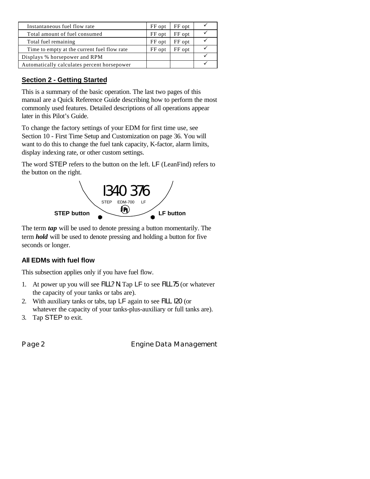| Instantaneous fuel flow rate                | FF opt | FF opt |  |
|---------------------------------------------|--------|--------|--|
| Total amount of fuel consumed               | FF opt | FF opt |  |
| Total fuel remaining                        | FF opt | FF opt |  |
| Time to empty at the current fuel flow rate | FF opt | FF opt |  |
| Displays % horsepower and RPM               |        |        |  |
| Automatically calculates percent horsepower |        |        |  |

# **Section 2 - Getting Started**

This is a summary of the basic operation. The last two pages of this manual are a Quick Reference Guide describing how to perform the most commonly used features. Detailed descriptions of all operations appear later in this Pilot's Guide.

To change the factory settings of your EDM for first time use, see Section 10 - First Time Setup and Customization on page 36. You will want to do this to change the fuel tank capacity, K-factor, alarm limits, display indexing rate, or other custom settings.

The word STEP refers to the button on the left. LF (LeanFind) refers to the button on the right.



The term *tap* will be used to denote pressing a button momentarily. The term *hold* will be used to denote pressing and holding a button for five seconds or longer.

# **All EDMs with fuel flow**

This subsection applies only if you have fuel flow.

- 1. At power up you will see FILL? N. Tap LF to see FILL 75 (or whatever the capacity of your tanks or tabs are).
- 2. With auxiliary tanks or tabs, tap LF again to see FILL I20 (or whatever the capacity of your tanks-plus-auxiliary or full tanks are).
- 3. Tap STEP to exit.

Page 2 **Engine Data Management**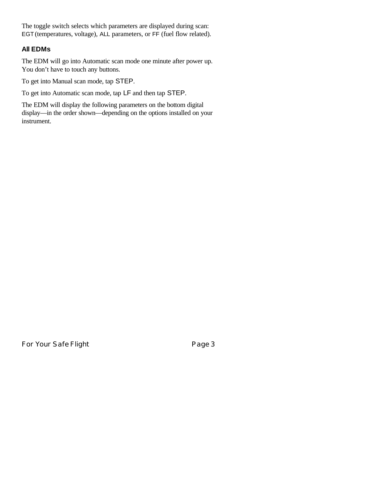The toggle switch selects which parameters are displayed during scan: EGT (temperatures, voltage), ALL parameters, or FF (fuel flow related).

#### **All EDMs**

The EDM will go into Automatic scan mode one minute after power up. You don't have to touch any buttons.

To get into Manual scan mode, tap STEP.

To get into Automatic scan mode, tap LF and then tap STEP.

The EDM will display the following parameters on the bottom digital display—in the order shown—depending on the options installed on your instrument.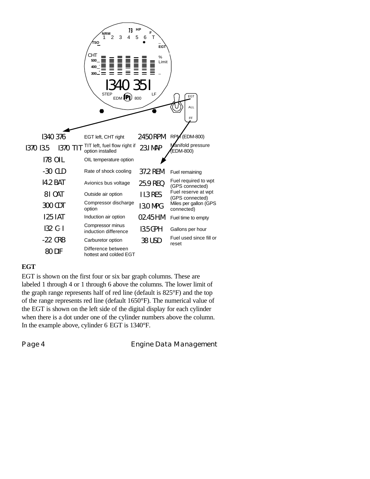

#### **EGT**

EGT is shown on the first four or six bar graph columns. These are labeled 1 through 4 or 1 through 6 above the columns. The lower limit of the graph range represents half of red line (default is 825°F) and the top of the range represents red line (default 1650°F). The numerical value of the EGT is shown on the left side of the digital display for each cylinder when there is a dot under one of the cylinder numbers above the column. In the example above, cylinder 6 EGT is 1340°F.

Page 4 **Engine Data Management**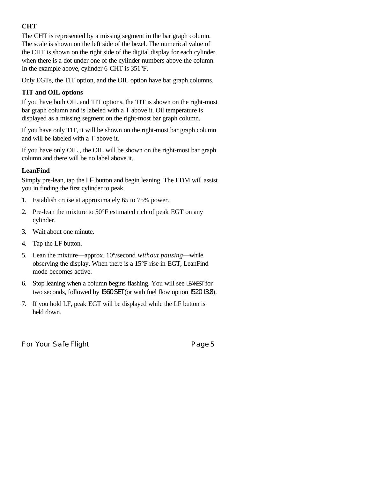# **CHT**

The CHT is represented by a missing segment in the bar graph column. The scale is shown on the left side of the bezel. The numerical value of the CHT is shown on the right side of the digital display for each cylinder when there is a dot under one of the cylinder numbers above the column. In the example above, cylinder 6 CHT is 351°F.

Only EGTs, the TIT option, and the OIL option have bar graph columns.

#### **TIT and OIL options**

If you have both OIL and TIT options, the TIT is shown on the right-most bar graph column and is labeled with a T above it. Oil temperature is displayed as a missing segment on the right-most bar graph column.

If you have only TIT, it will be shown on the right-most bar graph column and will be labeled with a T above it.

If you have only OIL , the OIL will be shown on the right-most bar graph column and there will be no label above it.

# **LeanFind**

Simply pre-lean, tap the LF button and begin leaning. The EDM will assist you in finding the first cylinder to peak.

- 1. Establish cruise at approximately 65 to 75% power.
- 2. Pre-lean the mixture to 50°F estimated rich of peak EGT on any cylinder.
- 3. Wait about one minute.
- 4. Tap the LF button.
- 5. Lean the mixture—approx. 10°/second *without pausing*—while observing the display. When there is a 15°F rise in EGT, LeanFind mode becomes active.
- 6. Stop leaning when a column begins flashing. You will see LEANEST for two seconds, followed by I560 SET (or with fuel flow option I520 I3.8).
- 7. If you hold LF, peak EGT will be displayed while the LF button is held down.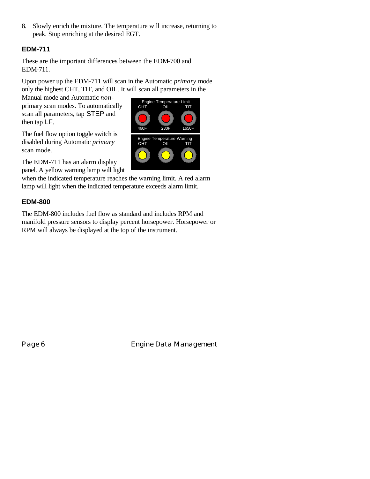8. Slowly enrich the mixture. The temperature will increase, returning to peak. Stop enriching at the desired EGT.

# **EDM-711**

These are the important differences between the EDM-700 and EDM-711.

Upon power up the EDM-711 will scan in the Automatic *primary* mode only the highest CHT, TIT, and OIL. It will scan all parameters in the

Manual mode and Automatic *non*primary scan modes. To automatically scan all parameters, tap STEP and then tap LF.

The fuel flow option toggle switch is disabled during Automatic *primary* scan mode.

The EDM-711 has an alarm display panel. A yellow warning lamp will light

when the indicated temperature reaches the warning limit. A red alarm lamp will light when the indicated temperature exceeds alarm limit.

# **EDM-800**

The EDM-800 includes fuel flow as standard and includes RPM and manifold pressure sensors to display percent horsepower. Horsepower or RPM will always be displayed at the top of the instrument.



Page 6 **Engine Data Management**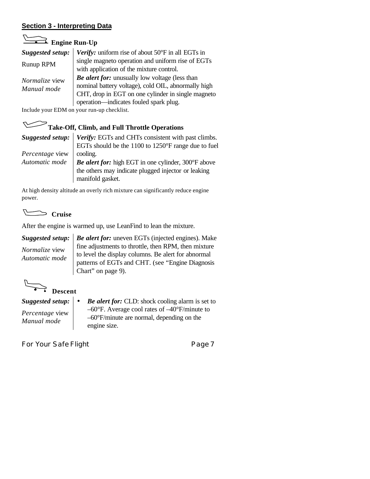# **Section 3 - Interpreting Data**

# **Engine Run-Up**

| Suggested setup:                     | <b>Verify:</b> uniform rise of about $50^{\circ}$ F in all EGTs in                                                                                                                                    |
|--------------------------------------|-------------------------------------------------------------------------------------------------------------------------------------------------------------------------------------------------------|
| Runup RPM                            | single magneto operation and uniform rise of EGTs<br>with application of the mixture control.                                                                                                         |
| <i>Normalize</i> view<br>Manual mode | Be alert for: unusually low voltage (less than<br>nominal battery voltage), cold OIL, abnormally high<br>CHT, drop in EGT on one cylinder in single magneto<br>operation—indicates fouled spark plug. |

Include your EDM on your run-up checklist.

# Take-Off, Climb, and Full Throttle Operations

|                 | Suggested setup:   Verify: EGTs and CHTs consistent with past climbs. |
|-----------------|-----------------------------------------------------------------------|
|                 | EGTs should be the 1100 to 1250°F range due to fuel                   |
| Percentage view | cooling.                                                              |
| Automatic mode  | Be alert for: high EGT in one cylinder, 300°F above                   |
|                 | the others may indicate plugged injector or leaking                   |
|                 | manifold gasket.                                                      |

At high density altitude an overly rich mixture can significantly reduce engine power.

 **Cruise**

After the engine is warmed up, use LeanFind to lean the mixture.

*Suggested setup: Normalize* view *Automatic mode*

*Be alert for:* uneven EGTs (injected engines). Make fine adjustments to throttle, then RPM, then mixture to level the display columns. Be alert for abnormal patterns of EGTs and CHT. (see "Engine Diagnosis Chart" on page 9).

 **Descent**

*Suggested setup: Percentage* view *Manual mode*

• *Be alert for:* CLD: shock cooling alarm is set to –60°F. Average cool rates of –40°F/minute to –60°F/minute are normal, depending on the engine size.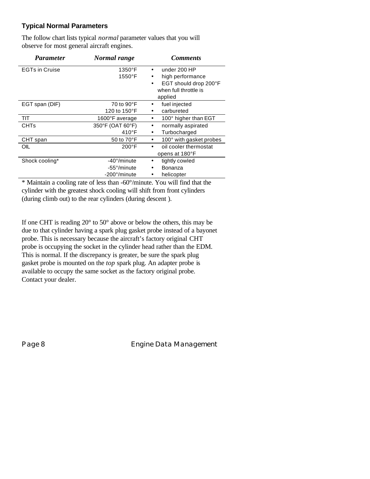# **Typical Normal Parameters**

The follow chart lists typical *normal* parameter values that you will observe for most general aircraft engines.

| <i>Parameter</i>      | Normal range         | <b>Comments</b>           |  |
|-----------------------|----------------------|---------------------------|--|
| <b>EGTs in Cruise</b> | 1350°F               | under 200 HP              |  |
|                       | 1550°F               | high performance          |  |
|                       |                      | EGT should drop 200°F     |  |
|                       |                      | when full throttle is     |  |
|                       |                      | applied                   |  |
| EGT span (DIF)        | 70 to $90^{\circ}$ F | fuel injected<br>٠        |  |
|                       | 120 to 150°F         | carbureted                |  |
| TIT                   | 1600°F average       | 100° higher than EGT      |  |
| <b>CHTs</b>           | 350°F (OAT 60°F)     | normally aspirated        |  |
|                       | $410^{\circ}$ F      | Turbocharged<br>$\bullet$ |  |
| CHT span              | 50 to $70^{\circ}$ F | 100° with gasket probes   |  |
| OIL                   | $200^{\circ}$ F      | oil cooler thermostat     |  |
|                       |                      | opens at 180°F            |  |
| Shock cooling*        | -40°/minute          | tightly cowled            |  |
|                       | -55°/minute          | Bonanza<br>$\bullet$      |  |
|                       | -200°/minute         | helicopter                |  |

\* Maintain a cooling rate of less than -60°/minute. You will find that the cylinder with the greatest shock cooling will shift from front cylinders (during climb out) to the rear cylinders (during descent ).

If one CHT is reading  $20^{\circ}$  to  $50^{\circ}$  above or below the others, this may be due to that cylinder having a spark plug gasket probe instead of a bayonet probe. This is necessary because the aircraft's factory original CHT probe is occupying the socket in the cylinder head rather than the EDM. This is normal. If the discrepancy is greater, be sure the spark plug gasket probe is mounted on the *top* spark plug. An adapter probe is available to occupy the same socket as the factory original probe. Contact your dealer.

Page 8 **Engine Data Management**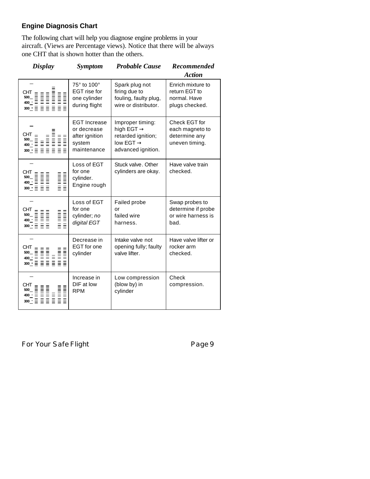# **Engine Diagnosis Chart**

The following chart will help you diagnose engine problems in your aircraft. (Views are Percentage views). Notice that there will be always one CHT that is shown hotter than the others.

| <b>Display</b>                                                                                                                                                                                                                                                                                                                                                                       | <b>Symptom</b>                                                                | <b>Probable Cause</b>                                                                                           | Recommended<br><b>Action</b>                                         |
|--------------------------------------------------------------------------------------------------------------------------------------------------------------------------------------------------------------------------------------------------------------------------------------------------------------------------------------------------------------------------------------|-------------------------------------------------------------------------------|-----------------------------------------------------------------------------------------------------------------|----------------------------------------------------------------------|
|                                                                                                                                                                                                                                                                                                                                                                                      | 75° to 100°<br><b>EGT</b> rise for<br>one cylinder<br>during flight           | Spark plug not<br>firing due to<br>fouling, faulty plug,<br>wire or distributor.                                | Enrich mixture to<br>return EGT to<br>normal, Have<br>plugs checked. |
|                                                                                                                                                                                                                                                                                                                                                                                      | <b>EGT Increase</b><br>or decrease<br>after ignition<br>system<br>maintenance | Improper timing:<br>high EGT $\rightarrow$<br>retarded ignition;<br>low EGT $\rightarrow$<br>advanced ignition. | Check EGT for<br>each magneto to<br>determine any<br>uneven timing.  |
| $\begin{array}{rcl} \textnormal{CHT} &\equiv &\equiv &\equiv \\ 500 &\equiv &\equiv &\equiv \\ 400 &\equiv &\equiv &\equiv \\ 300 &\equiv &\equiv &\equiv \\ \end{array}$                                                                                                                                                                                                            | Loss of EGT<br>for one<br>cylinder.<br>Engine rough                           | Stuck valve, Other<br>cylinders are okay.                                                                       | Have valve train<br>checked.                                         |
| $\begin{array}{rcl} \textnormal{CHT} &\equiv &\equiv &\equiv \\ 500 &\equiv &\equiv &\equiv \\ 400 &\equiv &\equiv &\equiv \\ 300 &\equiv &\equiv &\equiv \\ \end{array}$                                                                                                                                                                                                            | Loss of EGT<br>for one<br>cylinder; no<br>digital EGT                         | Failed probe<br>or<br>failed wire<br>harness.                                                                   | Swap probes to<br>determine if probe<br>or wire harness is<br>bad.   |
| $\begin{array}{ll} \text{CHT} & = & = \\ \text{SOO} & = & \text{H} \\ \text{SOO} & = & \text{H} \\ \text{SOO} & = & \text{H} \\ \text{SOO} & = & \text{H} \\ \text{SOO} & = & \text{H} \\ \text{SOO} & = & \text{H} \\ \text{SOO} & = & \text{H} \\ \text{SOO} & = & \text{H} \\ \text{SOO} & = & \text{H} \\ \text{SOO} & = & \text{H} \\ \text{SOO} & = & \text{H} \\ \end{array}$ | Decrease in<br>EGT for one<br>cylinder                                        | Intake valve not<br>opening fully; faulty<br>valve lifter.                                                      | Have valve lifter or<br>rocker arm<br>checked.                       |
| CHT<br>CHT = = =<br>500_ 블로블<br>400_- = = 로블로블로<br>400_- = = 글 글 글 글                                                                                                                                                                                                                                                                                                                 | Increase in<br>DIF at low<br><b>RPM</b>                                       | Low compression<br>(blow by) in<br>cylinder                                                                     | Check<br>compression.                                                |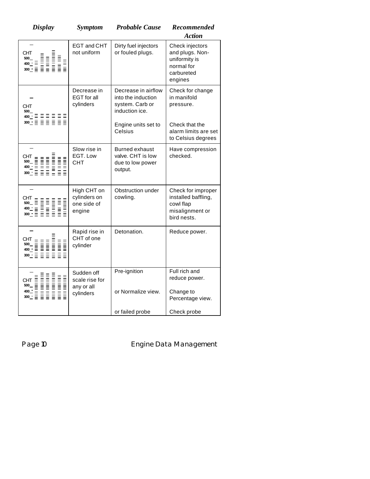| <b>Display</b>                                                                                                                                                                                                                                                                                                                                                                                                                                                                                                              | <b>Symptom</b>                                          | <b>Probable Cause</b>                                                          | Recommended<br><b>Action</b>                                                               |
|-----------------------------------------------------------------------------------------------------------------------------------------------------------------------------------------------------------------------------------------------------------------------------------------------------------------------------------------------------------------------------------------------------------------------------------------------------------------------------------------------------------------------------|---------------------------------------------------------|--------------------------------------------------------------------------------|--------------------------------------------------------------------------------------------|
| <b>CHT</b><br>$\begin{array}{ll} \text{CHT} & \equiv & \equiv \; \\ \text{500} & \equiv & \equiv \; \\ \text{400} & \equiv & \equiv \; \\ \text{401} & \equiv & \equiv \; \\ \text{51} & \equiv & \equiv \; \\ \text{52} & \equiv & \equiv \; \\ \text{53} & \equiv & \equiv \; \\ \text{54} & \equiv & \equiv \; \\ \text{55} & \equiv & \equiv \; \\ \end{array}$                                                                                                                                                         | EGT and CHT<br>not uniform                              | Dirty fuel injectors<br>or fouled plugs.                                       | Check injectors<br>and plugs. Non-<br>uniformity is<br>normal for<br>carbureted<br>engines |
| <b>CHT</b><br>500<br>$\begin{array}{c} \n400 \stackrel{+}{\cdot} \stackrel{+}{\cdot} \stackrel{+}{\cdot} \stackrel{+}{\cdot} \stackrel{+}{\cdot} \stackrel{+}{\cdot} \stackrel{+}{\cdot} \stackrel{+}{\cdot} \stackrel{+}{\cdot} \stackrel{+}{\cdot} \stackrel{+}{\cdot} \stackrel{+}{\cdot} \stackrel{+}{\cdot} \stackrel{+}{\cdot} \stackrel{+}{\cdot} \stackrel{+}{\cdot} \stackrel{+}{\cdot} \stackrel{+}{\cdot} \stackrel{+}{\cdot} \stackrel{+}{\cdot} \stackrel{+}{\cdot} \stackrel{+}{\cdot} \stackrel{+}{\cdot} \$ | Decrease in<br>EGT for all<br>cylinders                 | Decrease in airflow<br>into the induction<br>system. Carb or<br>induction ice. | Check for change<br>in manifold<br>pressure.                                               |
|                                                                                                                                                                                                                                                                                                                                                                                                                                                                                                                             |                                                         | Engine units set to<br>Celsius                                                 | Check that the<br>alarm limits are set<br>to Celsius degrees                               |
|                                                                                                                                                                                                                                                                                                                                                                                                                                                                                                                             | Slow rise in<br>EGT. Low<br><b>CHT</b>                  | <b>Burned exhaust</b><br>valve. CHT is low<br>due to low power<br>output.      | Have compression<br>checked.                                                               |
|                                                                                                                                                                                                                                                                                                                                                                                                                                                                                                                             | High CHT on<br>cylinders on<br>one side of<br>engine    | Obstruction under<br>cowling.                                                  | Check for improper<br>installed baffling,<br>cowl flap<br>misalignment or<br>bird nests.   |
| $\begin{array}{rcl} \text{CHT} & = & = & \text{H} \\ \text{500} & = & \text{H} \\ \text{501} & = & \text{H} \\ \text{502} & = & \text{H} \\ \text{503} & = & \text{H} \\ \text{504} & = & \text{H} \\ \text{505} & = & \text{H} \\ \text{506} & = & \text{H} \\ \text{507} & = & \text{H} \\ \text{518} & = & \text{H} \\ \text{529} & = & \text{H} \\ \text{530} & = & \text{H} \\ \text{540} & = & \text{H} \\ \text{$                                                                                                    | Rapid rise in<br>CHT of one<br>cylinder                 | Detonation.                                                                    | Reduce power.                                                                              |
|                                                                                                                                                                                                                                                                                                                                                                                                                                                                                                                             | Sudden off<br>scale rise for<br>any or all<br>cylinders | Pre-ignition<br>or Normalize view.                                             | Full rich and<br>reduce power.<br>Change to<br>Percentage view.                            |
|                                                                                                                                                                                                                                                                                                                                                                                                                                                                                                                             |                                                         | or failed probe                                                                | Check probe                                                                                |

Page 10 **Engine Data Management**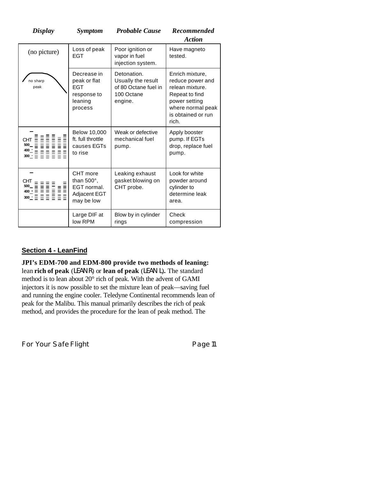| <b>Display</b>                                                                  | <b>Symptom</b>                                                                 | <b>Probable Cause</b>                                                              | <b>Recommended</b><br><b>Action</b>                                                                                                           |
|---------------------------------------------------------------------------------|--------------------------------------------------------------------------------|------------------------------------------------------------------------------------|-----------------------------------------------------------------------------------------------------------------------------------------------|
| (no picture)                                                                    | Loss of peak<br><b>EGT</b>                                                     | Poor ignition or<br>vapor in fuel<br>injection system.                             | Have magneto<br>tested.                                                                                                                       |
| no sharp<br>peak                                                                | Decrease in<br>peak or flat<br><b>EGT</b><br>response to<br>leaning<br>process | Detonation.<br>Usually the result<br>of 80 Octane fuel in<br>100 Octane<br>engine. | Enrich mixture,<br>reduce power and<br>relean mixture.<br>Repeat to find<br>power setting<br>where normal peak<br>is obtained or run<br>rich. |
|                                                                                 | <b>Below 10,000</b><br>ft. full throttle<br>causes EGTs<br>to rise             | Weak or defective<br>mechanical fuel<br>pump.                                      | Apply booster<br>pump. If EGTs<br>drop, replace fuel<br>pump.                                                                                 |
| CHT<br>CHI<br>500_ 블로블 블<br>400_: 르 르 블로블<br>400_: 르 르 르 르 르<br>300_: 르 르 르 르 르 | CHT more<br>than $500^\circ$ ,<br>EGT normal.<br>Adjacent EGT<br>may be low    | Leaking exhaust<br>gasket blowing on<br>CHT probe.                                 | Look for white<br>powder around<br>cylinder to<br>determine leak<br>area.                                                                     |
|                                                                                 | Large DIF at<br>low RPM                                                        | Blow by in cylinder<br>rings                                                       | Check<br>compression                                                                                                                          |

# **Section 4 - LeanFind**

#### **JPI's EDM-700 and EDM-800 provide two methods of leaning:**

lean **rich of peak** (LEAN R) or **lean of peak** (LEAN L)**.** The standard method is to lean about 20° rich of peak. With the advent of GAMI injectors it is now possible to set the mixture lean of peak—saving fuel and running the engine cooler. Teledyne Continental recommends lean of peak for the Malibu. This manual primarily describes the rich of peak method, and provides the procedure for the lean of peak method. The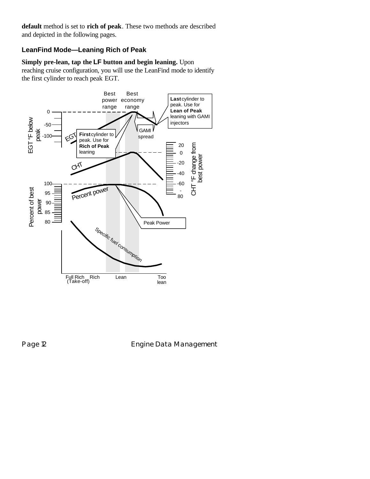**default** method is set to **rich of peak**. These two methods are described and depicted in the following pages.

# **LeanFind Mode—Leaning Rich of Peak**

**Simply pre-lean, tap the LF button and begin leaning.** Upon reaching cruise configuration, you will use the LeanFind mode to identify the first cylinder to reach peak EGT.



Page 12 **Engine Data Management**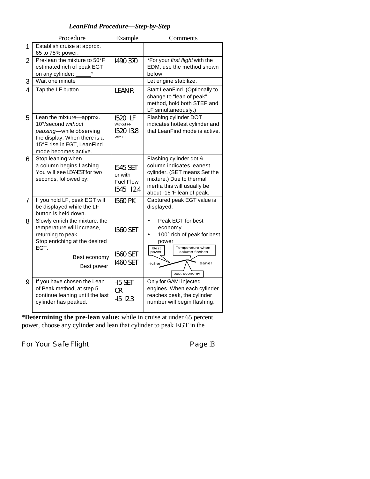# *LeanFind Procedure—Step-by-Step*

|   | Procedure                                                                                                                                                       | Example                                                     | Comments                                                                                                                                                                     |
|---|-----------------------------------------------------------------------------------------------------------------------------------------------------------------|-------------------------------------------------------------|------------------------------------------------------------------------------------------------------------------------------------------------------------------------------|
| 1 | Establish cruise at approx.<br>65 to 75% power.                                                                                                                 |                                                             |                                                                                                                                                                              |
| 2 | Pre-lean the mixture to 50°F<br>estimated rich of peak EGT<br>on any cylinder:                                                                                  | 1490 370                                                    | *For your first flight with the<br>EDM, use the method shown<br>below.                                                                                                       |
| 3 | Wait one minute                                                                                                                                                 |                                                             | Let engine stabilize.                                                                                                                                                        |
| 4 | Tap the LF button                                                                                                                                               | <b>LEAN R</b>                                               | Start LeanFind. (Optionally to<br>change to "lean of peak"<br>method, hold both STEP and<br>LF simultaneously.)                                                              |
| 5 | Lean the mixture-approx.<br>10°/second without<br>pausing-while observing<br>the display. When there is a<br>15°F rise in EGT, LeanFind<br>mode becomes active. | 1520 LF<br>Without FF<br>1520 13.8<br>With FF               | Flashing cylinder DOT<br>indicates hottest cylinder and<br>that LeanFind mode is active.                                                                                     |
| 6 | Stop leaning when<br>a column begins flashing.<br>You will see LEANEST for two<br>seconds, followed by:                                                         | <b>1545 SET</b><br>or with<br><b>Fuel Flow</b><br>1545 12.4 | Flashing cylinder dot &<br>column indicates leanest<br>cylinder. (SET means Set the<br>mixture.) Due to thermal<br>inertia this will usually be<br>about -15°F lean of peak. |
| 7 | If you hold LF, peak EGT will<br>be displayed while the LF<br>button is held down.                                                                              | <b>1560 PK</b>                                              | Captured peak EGT value is<br>displayed.                                                                                                                                     |
| 8 | Slowly enrich the mixture. the<br>temperature will increase,<br>returning to peak.<br>Stop enriching at the desired<br>EGT.                                     | <b>1560 SET</b>                                             | Peak EGT for best<br>$\bullet$<br>economy<br>100° rich of peak for best<br>power<br>Temperature when                                                                         |
|   | Best economy<br>Best power                                                                                                                                      | <b>1560 SET</b><br><b>1460 SET</b>                          | <b>Best</b><br>column flashes<br>power<br>richer<br>leaner<br>best economy                                                                                                   |
| 9 | If you have chosen the Lean<br>of Peak method, at step 5<br>continue leaning until the last<br>cylinder has peaked.                                             | -I5 SET<br>0 <sub>R</sub><br>$-15$ $12.3$                   | Only for GAMI injected<br>engines. When each cylinder<br>reaches peak, the cylinder<br>number will begin flashing.                                                           |

\***Determining the pre-lean value:** while in cruise at under 65 percent power, choose any cylinder and lean that cylinder to peak EGT in the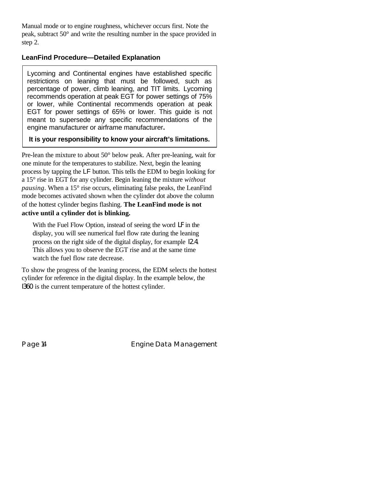Manual mode or to engine roughness, whichever occurs first. Note the peak, subtract 50° and write the resulting number in the space provided in step 2.

#### **LeanFind Procedure—Detailed Explanation**

Lycoming and Continental engines have established specific restrictions on leaning that must be followed, such as percentage of power, climb leaning, and TIT limits. Lycoming recommends operation at peak EGT for power settings of 75% or lower, while Continental recommends operation at peak EGT for power settings of 65% or lower. This guide is not meant to supersede any specific recommendations of the engine manufacturer or airframe manufacturer**.**

#### **It is your responsibility to know your aircraft's limitations.**

Pre-lean the mixture to about 50° below peak. After pre-leaning, wait for one minute for the temperatures to stabilize. Next, begin the leaning process by tapping the LF button. This tells the EDM to begin looking for a 15° rise in EGT for any cylinder. Begin leaning the mixture *without pausing*. When a 15° rise occurs, eliminating false peaks, the LeanFind mode becomes activated shown when the cylinder dot above the column of the hottest cylinder begins flashing. **The LeanFind mode is not active until a cylinder dot is blinking.**

With the Fuel Flow Option, instead of seeing the word LF in the display, you will see numerical fuel flow rate during the leaning process on the right side of the digital display, for example I2.4. This allows you to observe the EGT rise and at the same time watch the fuel flow rate decrease.

To show the progress of the leaning process, the EDM selects the hottest cylinder for reference in the digital display. In the example below, the I360 is the current temperature of the hottest cylinder.

Page 14 **Engine Data Management**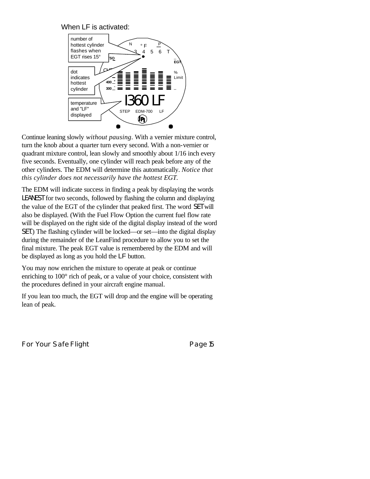When LF is activated:



Continue leaning slowly *without pausing*. With a vernier mixture control, turn the knob about a quarter turn every second. With a non-vernier or quadrant mixture control, lean slowly and smoothly about 1/16 inch every five seconds. Eventually, one cylinder will reach peak before any of the other cylinders. The EDM will determine this automatically. *Notice that this cylinder does not necessarily have the hottest EGT.*

The EDM will indicate success in finding a peak by displaying the words LEANEST for two seconds, followed by flashing the column and displaying the value of the EGT of the cylinder that peaked first. The word SET will also be displayed. (With the Fuel Flow Option the current fuel flow rate will be displayed on the right side of the digital display instead of the word SET.) The flashing cylinder will be locked—or set—into the digital display during the remainder of the LeanFind procedure to allow you to set the final mixture. The peak EGT value is remembered by the EDM and will be displayed as long as you hold the LF button.

You may now enrichen the mixture to operate at peak or continue enriching to 100° rich of peak, or a value of your choice, consistent with the procedures defined in your aircraft engine manual.

If you lean too much, the EGT will drop and the engine will be operating lean of peak.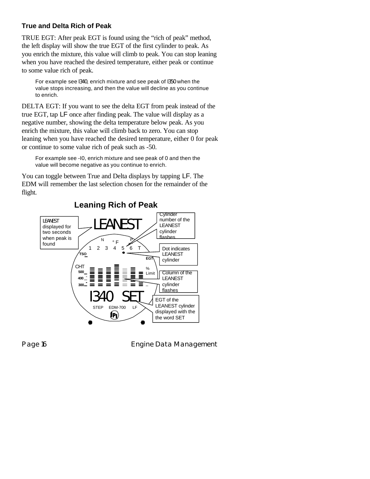# **True and Delta Rich of Peak**

TRUE EGT: After peak EGT is found using the "rich of peak" method, the left display will show the true EGT of the first cylinder to peak. As you enrich the mixture, this value will climb to peak. You can stop leaning when you have reached the desired temperature, either peak or continue to some value rich of peak.

For example see I340, enrich mixture and see peak of I350 when the value stops increasing, and then the value will decline as you continue to enrich.

DELTA EGT: If you want to see the delta EGT from peak instead of the true EGT, tap LF once after finding peak. The value will display as a negative number, showing the delta temperature below peak. As you enrich the mixture, this value will climb back to zero. You can stop leaning when you have reached the desired temperature, either 0 for peak or continue to some value rich of peak such as -50.

For example see -I0, enrich mixture and see peak of 0 and then the value will become negative as you continue to enrich.

You can toggle between True and Delta displays by tapping LF. The EDM will remember the last selection chosen for the remainder of the flight.



Page 16 **Engine Data Management**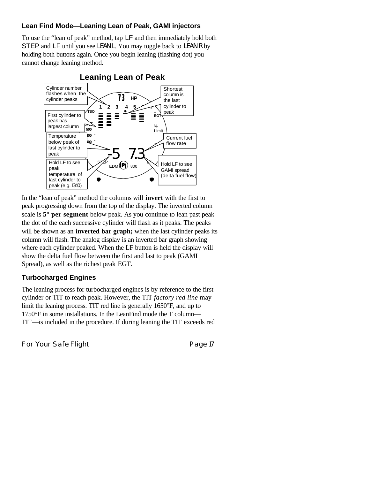#### **Lean Find Mode—Leaning Lean of Peak, GAMI injectors**

To use the "lean of peak" method, tap LF and then immediately hold both STEP and LF until you see LEAN L. You may toggle back to LEAN R by holding both buttons again. Once you begin leaning (flashing dot) you cannot change leaning method.



In the "lean of peak" method the columns will **invert** with the first to peak progressing down from the top of the display. The inverted column scale is **5° per segment** below peak. As you continue to lean past peak the dot of the each successive cylinder will flash as it peaks. The peaks will be shown as an **inverted bar graph**; when the last cylinder peaks its column will flash. The analog display is an inverted bar graph showing where each cylinder peaked. When the LF button is held the display will show the delta fuel flow between the first and last to peak (GAMI Spread), as well as the richest peak EGT.

#### **Turbocharged Engines**

The leaning process for turbocharged engines is by reference to the first cylinder or TIT to reach peak. However, the TIT *factory red line* may limit the leaning process. TIT red line is generally 1650°F, and up to 1750°F in some installations. In the LeanFind mode the T column— TIT—is included in the procedure. If during leaning the TIT exceeds red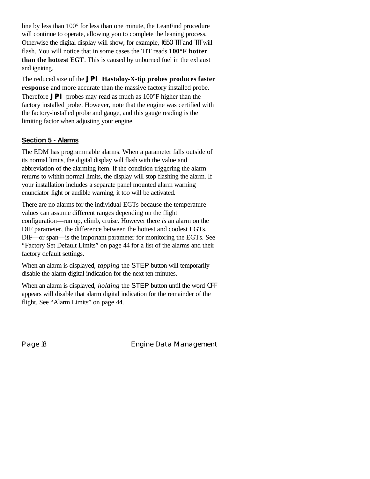line by less than 100° for less than one minute, the LeanFind procedure will continue to operate, allowing you to complete the leaning process. Otherwise the digital display will show, for example, I650 TIT and TIT will flash. You will notice that in some cases the TIT reads **100°F hotter than the hottest EGT**. This is caused by unburned fuel in the exhaust and igniting.

The reduced size of the *JPI* **Hastaloy-X-tip probes produces faster response** and more accurate than the massive factory installed probe. Therefore *JPI* probes may read as much as 100°F higher than the factory installed probe. However, note that the engine was certified with the factory-installed probe and gauge, and this gauge reading is the limiting factor when adjusting your engine.

# **Section 5 - Alarms**

The EDM has programmable alarms. When a parameter falls outside of its normal limits, the digital display will flash with the value and abbreviation of the alarming item. If the condition triggering the alarm returns to within normal limits, the display will stop flashing the alarm. If your installation includes a separate panel mounted alarm warning enunciator light or audible warning, it too will be activated.

There are no alarms for the individual EGTs because the temperature values can assume different ranges depending on the flight configuration—run up, climb, cruise. However there *is* an alarm on the DIF parameter, the difference between the hottest and coolest EGTs. DIF—or span—is the important parameter for monitoring the EGTs. See "Factory Set Default Limits" on page 44 for a list of the alarms and their factory default settings.

When an alarm is displayed, *tapping* the STEP button will temporarily disable the alarm digital indication for the next ten minutes.

When an alarm is displayed, *holding* the STEP button until the word OFF appears will disable that alarm digital indication for the remainder of the flight. See "Alarm Limits" on page 44.

Page 18 **Engine Data Management**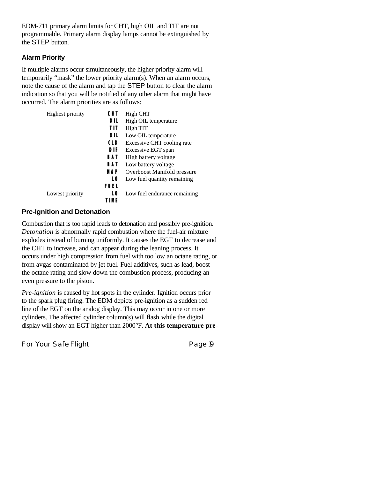EDM-711 primary alarm limits for CHT, high OIL and TIT are not programmable. Primary alarm display lamps cannot be extinguished by the STEP button.

#### **Alarm Priority**

If multiple alarms occur simultaneously, the higher priority alarm will temporarily "mask" the lower priority alarm(s). When an alarm occurs, note the cause of the alarm and tap the STEP button to clear the alarm indication so that you will be notified of any other alarm that might have occurred. The alarm priorities are as follows:

| <b>Highest priority</b> | CHT        | High CHT                     |
|-------------------------|------------|------------------------------|
|                         | 01 L       | High OIL temperature         |
|                         | ТIТ        | High TIT                     |
|                         | 01 L       | Low OIL temperature          |
|                         | <b>CLD</b> | Excessive CHT cooling rate   |
|                         | DIF        | Excessive EGT span           |
|                         | BAT        | High battery voltage         |
|                         | <b>BAT</b> | Low battery voltage          |
|                         | MAP        | Overboost Manifold pressure  |
|                         | L0         | Low fuel quantity remaining  |
|                         | FUEL       |                              |
| Lowest priority         | L0         | Low fuel endurance remaining |
|                         | TIMF       |                              |

#### **Pre-Ignition and Detonation**

Combustion that is too rapid leads to detonation and possibly pre-ignition. *Detonation* is abnormally rapid combustion where the fuel-air mixture explodes instead of burning uniformly. It causes the EGT to decrease and the CHT to increase, and can appear during the leaning process. It occurs under high compression from fuel with too low an octane rating, or from avgas contaminated by jet fuel. Fuel additives, such as lead, boost the octane rating and slow down the combustion process, producing an even pressure to the piston.

*Pre-ignition* is caused by hot spots in the cylinder. Ignition occurs prior to the spark plug firing. The EDM depicts pre-ignition as a sudden red line of the EGT on the analog display. This may occur in one or more cylinders. The affected cylinder column(s) will flash while the digital display will show an EGT higher than 2000°F. **At this temperature pre-**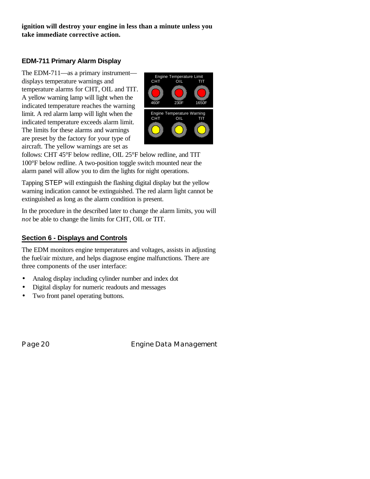**ignition will destroy your engine in less than a minute unless you take immediate corrective action.**

# **EDM-711 Primary Alarm Display**

The EDM-711—as a primary instrument displays temperature warnings and temperature alarms for CHT, OIL and TIT. A yellow warning lamp will light when the indicated temperature reaches the warning limit. A red alarm lamp will light when the indicated temperature exceeds alarm limit. The limits for these alarms and warnings are preset by the factory for your type of aircraft. The yellow warnings are set as



follows: CHT 45°F below redline, OIL 25°F below redline, and TIT 100°F below redline. A two-position toggle switch mounted near the alarm panel will allow you to dim the lights for night operations.

Tapping STEP will extinguish the flashing digital display but the yellow warning indication cannot be extinguished. The red alarm light cannot be extinguished as long as the alarm condition is present.

In the procedure in the described later to change the alarm limits, you will *not* be able to change the limits for CHT, OIL or TIT.

# **Section 6 - Displays and Controls**

The EDM monitors engine temperatures and voltages, assists in adjusting the fuel/air mixture, and helps diagnose engine malfunctions. There are three components of the user interface:

- Analog display including cylinder number and index dot
- Digital display for numeric readouts and messages
- Two front panel operating buttons.

Page 20 **Engine Data Management**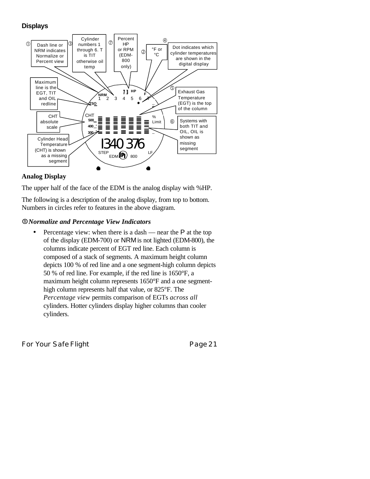# **Displays**



#### **Analog Display**

The upper half of the face of the EDM is the analog display with %HP.

The following is a description of the analog display, from top to bottom. Numbers in circles refer to features in the above diagram.

#### Å*Normalize and Percentage View Indicators*

• Percentage view: when there is a dash — near the  $P$  at the top of the display (EDM-700) or NRM is not lighted (EDM-800), the columns indicate percent of EGT red line. Each column is composed of a stack of segments. A maximum height column depicts 100 % of red line and a one segment-high column depicts 50 % of red line. For example, if the red line is 1650°F, a maximum height column represents 1650°F and a one segmenthigh column represents half that value, or 825°F. The *Percentage view* permits comparison of EGTs *across all* cylinders. Hotter cylinders display higher columns than cooler cylinders.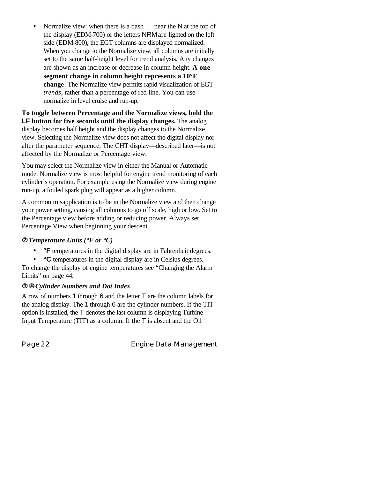Normalize view: when there is a dash  $\Box$  near the N at the top of the display (EDM-700) or the letters NRMare lighted on the left side (EDM-800), the EGT columns are displayed normalized. When you change to the Normalize view, all columns are initially set to the same half-height level for trend analysis. Any changes are shown as an increase or decrease in column height. **A onesegment change in column height represents a 10°F change**. The Normalize view permits rapid visualization of EGT *trends*, rather than a percentage of red line. You can use normalize in level cruise and run-up.

**To toggle between Percentage and the Normalize views, hold the LF button for five seconds until the display changes.** The analog display becomes half height and the display changes to the Normalize view. Selecting the Normalize view does not affect the digital display nor alter the parameter sequence. The CHT display—described later—is not affected by the Normalize or Percentage view.

You may select the Normalize view in either the Manual or Automatic mode. Normalize view is most helpful for engine trend monitoring of each cylinder's operation. For example using the Normalize view during engine run-up, a fouled spark plug will appear as a higher column.

A common misapplication is to be in the Normalize view and then change your power setting, causing all columns to go off scale, high or low. Set to the Percentage view before adding or reducing power. Always set Percentage View when beginning your descent.

#### Ç*Temperature Units (°F or °C)*

- **F** temperatures in the digital display are in Fahrenheit degrees.
- **°C** temperatures in the digital display are in Celsius degrees.

To change the display of engine temperatures see "Changing the Alarm Limits" on page 44.

#### **<b>E** $\Theta$ *Cylinder Numbers and Dot Index*

A row of numbers 1 through 6 and the letter T are the column labels for the analog display. The 1 through 6 are the cylinder numbers. If the TIT option is installed, the T denotes the last column is displaying Turbine Input Temperature (TIT) as a column. If the  $\overline{T}$  is absent and the Oil

Page 22 **Engine Data Management**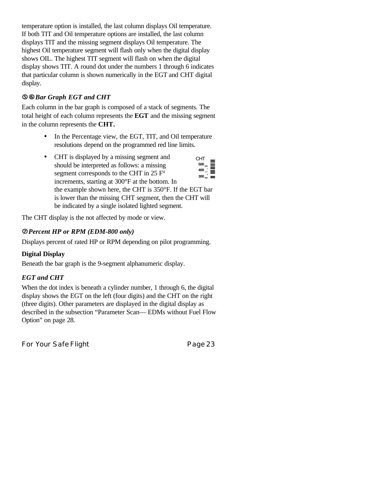temperature option is installed, the last column displays Oil temperature. If both TIT and Oil temperature options are installed, the last column displays TIT and the missing segment displays Oil temperature. The highest Oil temperature segment will flash only when the digital display shows OIL. The highest TIT segment will flash on when the digital display shows TIT. A round dot under the numbers 1 through 6 indicates that particular column is shown numerically in the EGT and CHT digital display.

# ÖÜ*Bar Graph EGT and CHT*

Each column in the bar graph is composed of a stack of segments. The total height of each column represents the **EGT** and the missing segment in the column represents the **CHT.**

- In the Percentage view, the EGT, TIT, and Oil temperature resolutions depend on the programmed red line limits.
- CHT is displayed by a missing segment and should be interpreted as follows: a missing segment corresponds to the CHT in  $25 \text{ F}^{\circ}$ increments, starting at 300°F at the bottom. In the example shown here, the CHT is 350°F. If the EGT bar is lower than the missing CHT segment, then the CHT will be indicated by a single isolated lighted segment. **300 400 500** CHT

The CHT display is the not affected by mode or view.

# á*Percent HP or RPM (EDM-800 only)*

Displays percent of rated HP or RPM depending on pilot programming.

# **Digital Display**

Beneath the bar graph is the 9-segment alphanumeric display.

# *EGT and CHT*

When the dot index is beneath a cylinder number, 1 through 6, the digital display shows the EGT on the left (four digits) and the CHT on the right (three digits). Other parameters are displayed in the digital display as described in the subsection "Parameter Scan— EDMs without Fuel Flow Option" on page 28.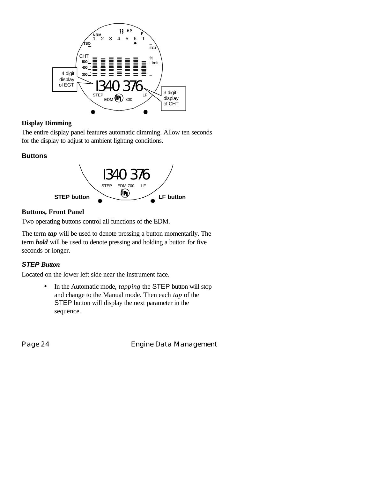

# **Display Dimming**

The entire display panel features automatic dimming. Allow ten seconds for the display to adjust to ambient lighting conditions.

# **Buttons**



# **Buttons, Front Panel**

Two operating buttons control all functions of the EDM.

The term *tap* will be used to denote pressing a button momentarily. The term *hold* will be used to denote pressing and holding a button for five seconds or longer.

# *STEP Button*

Located on the lower left side near the instrument face.

• In the Automatic mode, *tapping* the STEP button will stop and change to the Manual mode. Then each *tap* of the STEP button will display the next parameter in the sequence.

Page 24 **Engine Data Management**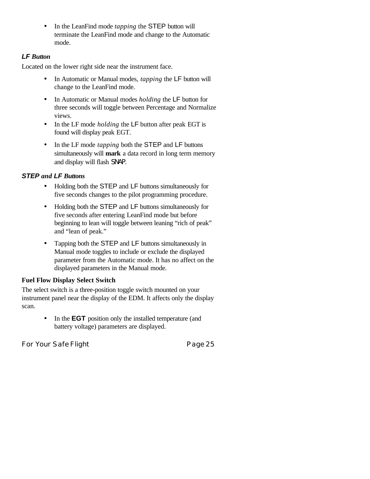• In the LeanFind mode *tapping* the STEP button will terminate the LeanFind mode and change to the Automatic mode.

### *LF Button*

Located on the lower right side near the instrument face.

- In Automatic or Manual modes, *tapping* the LF button will change to the LeanFind mode.
- In Automatic or Manual modes *holding* the LF button for three seconds will toggle between Percentage and Normalize views.
- In the LF mode *holding* the LF button after peak EGT is found will display peak EGT.
- In the LF mode *tapping* both the STEP and LF buttons simultaneously will **mark** a data record in long term memory and display will flash SNAP.

# *STEP and LF Buttons*

- Holding both the STEP and LF buttons simultaneously for five seconds changes to the pilot programming procedure.
- Holding both the STEP and LF buttons simultaneously for five seconds after entering LeanFind mode but before beginning to lean will toggle between leaning "rich of peak" and "lean of peak."
- Tapping both the STEP and LF buttons simultaneously in Manual mode toggles to include or exclude the displayed parameter from the Automatic mode. It has no affect on the displayed parameters in the Manual mode.

# **Fuel Flow Display Select Switch**

The select switch is a three-position toggle switch mounted on your instrument panel near the display of the EDM. It affects only the display scan.

> • In the **EGT** position only the installed temperature (and battery voltage) parameters are displayed.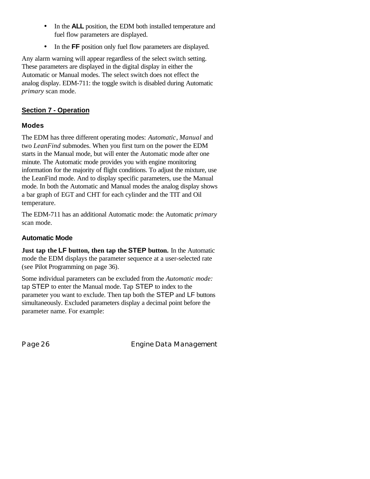- In the **ALL** position, the EDM both installed temperature and fuel flow parameters are displayed.
- In the **FF** position only fuel flow parameters are displayed.

Any alarm warning will appear regardless of the select switch setting. These parameters are displayed in the digital display in either the Automatic or Manual modes. The select switch does not effect the analog display. EDM-711: the toggle switch is disabled during Automatic *primary* scan mode.

# **Section 7 - Operation**

# **Modes**

The EDM has three different operating modes: *Automatic*, *Manual* and two *LeanFind* submodes. When you first turn on the power the EDM starts in the Manual mode, but will enter the Automatic mode after one minute. The Automatic mode provides you with engine monitoring information for the majority of flight conditions. To adjust the mixture, use the LeanFind mode. And to display specific parameters, use the Manual mode. In both the Automatic and Manual modes the analog display shows a bar graph of EGT and CHT for each cylinder and the TIT and Oil temperature.

The EDM-711 has an additional Automatic mode: the Automatic *primary* scan mode.

# **Automatic Mode**

**Just tap the LF button, then tap the STEP button.** In the Automatic mode the EDM displays the parameter sequence at a user-selected rate (see Pilot Programming on page 36).

Some individual parameters can be excluded from the *Automatic mode:* tap STEP to enter the Manual mode. Tap STEP to index to the parameter you want to exclude. Then tap both the STEP and LF buttons simultaneously. Excluded parameters display a decimal point before the parameter name. For example:

Page 26 **Engine Data Management**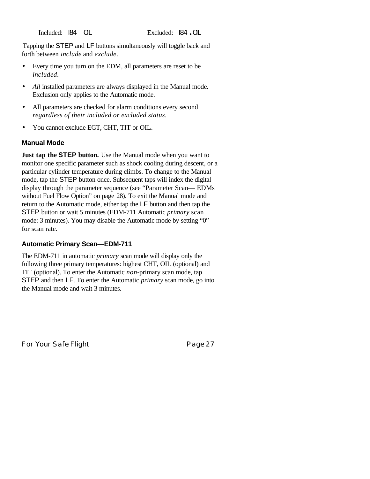Tapping the STEP and LF buttons simultaneously will toggle back and forth between *include* and *exclude*.

- Every time you turn on the EDM, all parameters are reset to be *included*.
- *All* installed parameters are always displayed in the Manual mode. Exclusion only applies to the Automatic mode.
- All parameters are checked for alarm conditions every second *regardless of their included or excluded status*.
- You cannot exclude EGT, CHT, TIT or OIL.

#### **Manual Mode**

**Just tap the STEP button.** Use the Manual mode when you want to monitor one specific parameter such as shock cooling during descent, or a particular cylinder temperature during climbs. To change to the Manual mode, tap the STEP button once. Subsequent taps will index the digital display through the parameter sequence (see "Parameter Scan— EDMs without Fuel Flow Option" on page 28). To exit the Manual mode and return to the Automatic mode, either tap the LF button and then tap the STEP button or wait 5 minutes (EDM-711 Automatic *primary* scan mode: 3 minutes). You may disable the Automatic mode by setting "0" for scan rate.

#### **Automatic Primary Scan—EDM-711**

The EDM-711 in automatic *primary* scan mode will display only the following three primary temperatures: highest CHT, OIL (optional) and TIT (optional). To enter the Automatic *non*-primary scan mode, tap STEP and then LF. To enter the Automatic *primary* scan mode, go into the Manual mode and wait 3 minutes.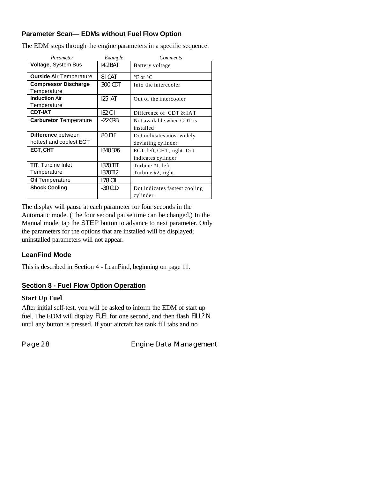# **Parameter Scan— EDMs without Fuel Flow Option**

| Parameter                      | Example        | <b>Comments</b>                |
|--------------------------------|----------------|--------------------------------|
| <b>Voltage, System Bus</b>     | 14.2 BAT       | Battery voltage                |
| <b>Outside Air Temperature</b> | 81 OAT         | $\mathrm{P}F$ or $\mathrm{P}C$ |
| <b>Compressor Discharge</b>    | 300 CDT        | Into the intercooler           |
| Temperature                    |                |                                |
| <b>Induction Air</b>           | <b>125 IAT</b> | Out of the intercooler         |
| Temperature                    |                |                                |
| <b>CDT-IAT</b>                 | $132C-I$       | Difference of CDT & IAT        |
| <b>Carburetor</b> Temperature  | $-22$ CRB      | Not available when CDT is      |
|                                |                | installed                      |
| Difference between             | 80 DIF         | Dot indicates most widely      |
| hottest and coolest EGT        |                | deviating cylinder             |
| EGT, CHT                       | 1340376        | EGT, left, CHT, right. Dot     |
|                                |                | indicates cylinder             |
| <b>TIT.</b> Turbine Inlet      | 1370 TIT       | Turbine #1, left               |
| Temperature                    | 1370 T12       | Turbine #2, right              |
| <b>Oil Temperature</b>         | 178 OIL        |                                |
| <b>Shock Cooling</b>           | $-30$ CLD      | Dot indicates fastest cooling  |
|                                |                | cylinder                       |

The EDM steps through the engine parameters in a specific sequence.

The display will pause at each parameter for four seconds in the Automatic mode. (The four second pause time can be changed.) In the Manual mode, tap the STEP button to advance to next parameter. Only the parameters for the options that are installed will be displayed; uninstalled parameters will not appear.

#### **LeanFind Mode**

This is described in Section 4 - LeanFind, beginning on page 11.

#### **Section 8 - Fuel Flow Option Operation**

#### **Start Up Fuel**

After initial self-test, you will be asked to inform the EDM of start up fuel. The EDM will display FUEL for one second, and then flash FILL? N until any button is pressed. If your aircraft has tank fill tabs and no

Page 28 **Engine Data Management**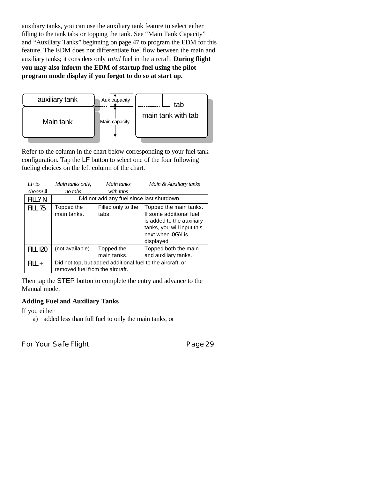auxiliary tanks, you can use the auxiliary tank feature to select either filling to the tank tabs or topping the tank. See "Main Tank Capacity" and "Auxiliary Tanks" beginning on page 47 to program the EDM for this feature. The EDM does not differentiate fuel flow between the main and auxiliary tanks; it considers only *total* fuel in the aircraft. **During flight you may also inform the EDM of startup fuel using the pilot program mode display if you forgot to do so at start up.**



Refer to the column in the chart below corresponding to your fuel tank configuration. Tap the LF button to select one of the four following fueling choices on the left column of the chart.

| IF to             | Main tanks only,                                                                              | Main tanks                                | Main & Auxiliary tanks                                                                                                                          |  |  |  |
|-------------------|-----------------------------------------------------------------------------------------------|-------------------------------------------|-------------------------------------------------------------------------------------------------------------------------------------------------|--|--|--|
| $choose$ <b>B</b> | no tabs                                                                                       | with tabs                                 |                                                                                                                                                 |  |  |  |
| FILL?N            |                                                                                               | Did not add any fuel since last shutdown. |                                                                                                                                                 |  |  |  |
| <b>FILL 75</b>    | Topped the<br>main tanks.                                                                     | Filled only to the<br>tabs.               | Topped the main tanks.<br>If some additional fuel<br>is added to the auxiliary<br>tanks, you will input this<br>next when 0 GAL is<br>displayed |  |  |  |
| <b>FILL 120</b>   | (not available)                                                                               | Topped the<br>main tanks.                 | Topped both the main<br>and auxiliary tanks.                                                                                                    |  |  |  |
| $FILL +$          | Did not top, but added additional fuel to the aircraft, or<br>removed fuel from the aircraft. |                                           |                                                                                                                                                 |  |  |  |

Then tap the STEP button to complete the entry and advance to the Manual mode.

#### **Adding Fuel and Auxiliary Tanks**

If you either

a) added less than full fuel to only the main tanks, or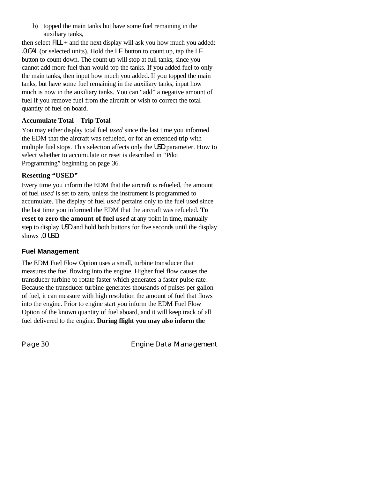b) topped the main tanks but have some fuel remaining in the auxiliary tanks,

then select  $FILL$  + and the next display will ask you how much you added: .0 GAL (or selected units). Hold the LF button to count up, tap the LF button to count down. The count up will stop at full tanks, since you cannot add more fuel than would top the tanks. If you added fuel to only the main tanks, then input how much you added. If you topped the main tanks, but have some fuel remaining in the auxiliary tanks, input how much is now in the auxiliary tanks. You can "add" a negative amount of fuel if you remove fuel from the aircraft or wish to correct the total quantity of fuel on board.

#### **Accumulate Total—Trip Total**

You may either display total fuel *used* since the last time you informed the EDM that the aircraft was refueled, or for an extended trip with multiple fuel stops. This selection affects only the USD parameter. How to select whether to accumulate or reset is described in "Pilot Programming" beginning on page 36.

#### **Resetting "USED"**

Every time you inform the EDM that the aircraft is refueled, the amount of fuel *used* is set to zero, unless the instrument is programmed to accumulate. The display of fuel *used* pertains only to the fuel used since the last time you informed the EDM that the aircraft was refueled. **To reset to zero the amount of fuel** *used* at any point in time, manually step to display USD and hold both buttons for five seconds until the display shows .0 USD.

#### **Fuel Management**

The EDM Fuel Flow Option uses a small, turbine transducer that measures the fuel flowing into the engine. Higher fuel flow causes the transducer turbine to rotate faster which generates a faster pulse rate. Because the transducer turbine generates thousands of pulses per gallon of fuel, it can measure with high resolution the amount of fuel that flows into the engine. Prior to engine start you inform the EDM Fuel Flow Option of the known quantity of fuel aboard, and it will keep track of all fuel delivered to the engine. **During flight you may also inform the**

Page 30 **Engine Data Management**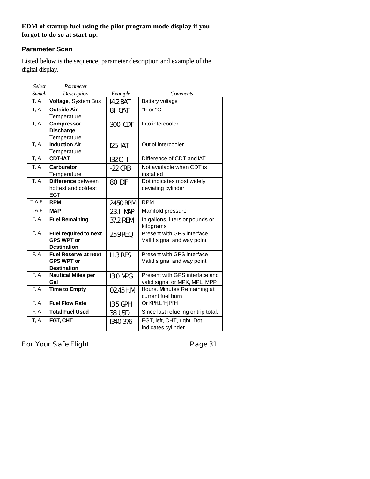# **EDM of startup fuel using the pilot program mode display if you forgot to do so at start up.**

# **Parameter Scan**

Listed below is the sequence, parameter description and example of the digital display.

| <b>Select</b> | Parameter                                  |                 |                                         |
|---------------|--------------------------------------------|-----------------|-----------------------------------------|
| Switch        | Description                                | Example         | Comments                                |
| T, A          | Voltage, System Bus                        | 14.2 BAT        | Battery voltage                         |
| T, A          | <b>Outside Air</b>                         | 81 OAT          | °F or °C                                |
|               | Temperature                                |                 |                                         |
| T, A          | <b>Compressor</b>                          | 300 CDT         | Into intercooler                        |
|               | <b>Discharge</b>                           |                 |                                         |
|               | Temperature                                |                 |                                         |
| T, A          | <b>Induction Air</b>                       | <b>125 IAT</b>  | Out of intercooler                      |
|               | Temperature                                |                 |                                         |
| T, A          | <b>CDT-IAT</b>                             | $132C - I$      | Difference of CDT and IAT               |
| T, A          | <b>Carburetor</b>                          | $-22$ CRB       | Not available when CDT is               |
|               | Temperature                                |                 | installed                               |
| T, A          | Difference between                         | 80 DIF          | Dot indicates most widely               |
|               | hottest and coldest                        |                 | deviating cylinder                      |
|               | <b>EGT</b>                                 |                 |                                         |
| T, A, F       | <b>RPM</b>                                 | 2450 RPM        | <b>RPM</b>                              |
|               |                                            |                 |                                         |
| T, A, F       | <b>MAP</b>                                 | 23.1 MAP        | Manifold pressure                       |
| F, A          | <b>Fuel Remaining</b>                      | 37.2 REM        | In gallons, liters or pounds or         |
| F, A          |                                            |                 | kilograms<br>Present with GPS interface |
|               | Fuel required to next<br><b>GPS WPT or</b> | 25.9 REQ        |                                         |
|               | <b>Destination</b>                         |                 | Valid signal and way point              |
| F, A          | <b>Fuel Reserve at next</b>                | <b>11.3 RES</b> | Present with GPS interface              |
|               | <b>GPS WPT or</b>                          |                 | Valid signal and way point              |
|               | <b>Destination</b>                         |                 |                                         |
| F, A          | <b>Nautical Miles per</b>                  | <b>13.0 MPG</b> | Present with GPS interface and          |
|               | Gal                                        |                 | valid signal or MPK, MPL, MPP           |
| F, A          | <b>Time to Empty</b>                       | 02.45 H.M.      | Hours. Minutes Remaining at             |
|               |                                            |                 | current fuel burn                       |
| F, A          | <b>Fuel Flow Rate</b>                      | 13.5 GPH        | Or KPH, LPH, PPH                        |
| F, A          | <b>Total Fuel Used</b>                     | 38 USD          | Since last refueling or trip total.     |
| T, A          | EGT, CHT                                   | 1340 376        | EGT, left, CHT, right. Dot              |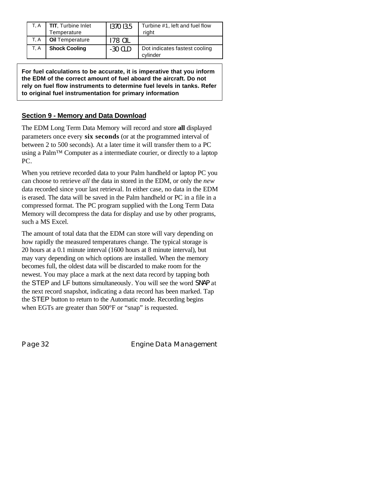| T. A | <b>TIT, Turbine Inlet</b><br>Temperature | 1370 13.5 | Turbine #1, left and fuel flow<br>riaht   |
|------|------------------------------------------|-----------|-------------------------------------------|
| T. A | <b>Oil Temperature</b>                   | 178 OII   |                                           |
| T. A | <b>Shock Cooling</b>                     | $-30$ CLD | Dot indicates fastest cooling<br>cylinder |

**For fuel calculations to be accurate, it is imperative that you inform the EDM of the correct amount of fuel aboard the aircraft. Do not rely on fuel flow instruments to determine fuel levels in tanks. Refer to original fuel instrumentation for primary information**

# **Section 9 - Memory and Data Download**

The EDM Long Term Data Memory will record and store **all** displayed parameters once every **six seconds** (or at the programmed interval of between 2 to 500 seconds). At a later time it will transfer them to a PC using a Palm™ Computer as a intermediate courier, or directly to a laptop PC.

When you retrieve recorded data to your Palm handheld or laptop PC you can choose to retrieve *all* the data in stored in the EDM, or only the *new* data recorded since your last retrieval. In either case, no data in the EDM is erased. The data will be saved in the Palm handheld or PC in a file in a compressed format. The PC program supplied with the Long Term Data Memory will decompress the data for display and use by other programs, such a MS Excel.

The amount of total data that the EDM can store will vary depending on how rapidly the measured temperatures change. The typical storage is 20 hours at a 0.1 minute interval (1600 hours at 8 minute interval), but may vary depending on which options are installed. When the memory becomes full, the oldest data will be discarded to make room for the newest. You may place a mark at the next data record by tapping both the STEP and LF buttons simultaneously. You will see the word SNAP at the next record snapshot, indicating a data record has been marked. Tap the STEP button to return to the Automatic mode. Recording begins when EGTs are greater than 500°F or "snap" is requested.

Page 32 **Engine Data Management**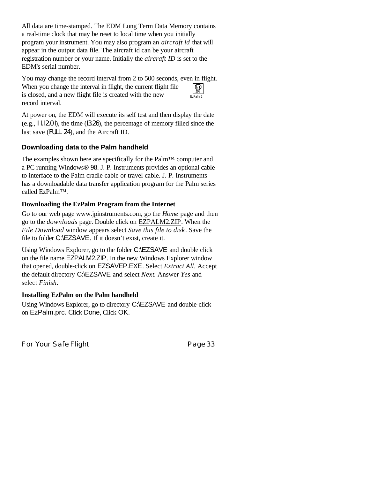All data are time-stamped. The EDM Long Term Data Memory contains a real-time clock that may be reset to local time when you initially program your instrument. You may also program an *aircraft id* that will appear in the output data file. The aircraft id can be your aircraft registration number or your name. Initially the *aircraft ID* is set to the EDM's serial number.

You may change the record interval from 2 to 500 seconds, even in flight. When you change the interval in flight, the current flight file is closed, and a new flight file is created with the new record interval. EzPalm 2 JPI

At power on, the EDM will execute its self test and then display the date (e.g., I I. I2.0 I), the time (I3.26), the percentage of memory filled since the last save (FULL 24), and the Aircraft ID.

# **Downloading data to the Palm handheld**

The examples shown here are specifically for the Palm™ computer and a PC running Windows® 98. J. P. Instruments provides an optional cable to interface to the Palm cradle cable or travel cable. J. P. Instruments has a downloadable data transfer application program for the Palm series called EzPalm™.

#### **Downloading the EzPalm Program from the Internet**

Go to our web page www.jpinstruments.com, go the *Home* page and then go to the *downloads* page. Double click on EZPALM2.ZIP. When the *File Download* window appears select *Save this file to disk*. Save the file to folder C:\EZSAVE. If it doesn't exist, create it.

Using Windows Explorer, go to the folder C:\EZSAVE and double click on the file name EZPALM2.ZIP. In the new Windows Explorer window that opened, double-click on EZSAVEP.EXE. Select *Extract All*. Accept the default directory C:\EZSAVE and select *Next*. Answer *Yes* and select *Finish*.

#### **Installing EzPalm on the Palm handheld**

Using Windows Explorer, go to directory C:\EZSAVE and double-click on EzPalm.prc. Click Done, Click OK.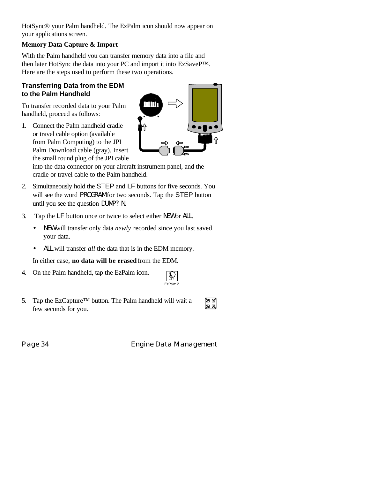HotSync® your Palm handheld. The EzPalm icon should now appear on your applications screen.

# **Memory Data Capture & Import**

With the Palm handheld you can transfer memory data into a file and then later HotSync the data into your PC and import it into EzSaveP™. Here are the steps used to perform these two operations.

# **Transferring Data from the EDM to the Palm Handheld**

To transfer recorded data to your Palm handheld, proceed as follows:

1. Connect the Palm handheld cradle or travel cable option (available from Palm Computing) to the JPI Palm Download cable (gray). Insert the small round plug of the JPI cable



into the data connector on your aircraft instrument panel, and the cradle or travel cable to the Palm handheld.

- 2. Simultaneously hold the STEP and LF buttons for five seconds. You will see the word PROGRAM for two seconds. Tap the STEP button until you see the question DUMP? N.
- 3. Tap the LF button once or twice to select either NEW or ALL.
	- NEW will transfer only data *newly* recorded since you last saved your data.
	- ALL will transfer *all* the data that is in the EDM memory.

In either case, **no data will be erased** from the EDM.

4. On the Palm handheld, tap the EzPalm icon.

| IJ<br>, |  |
|---------|--|
| っ       |  |

e<br>Ma

5. Tap the EzCapture™ button. The Palm handheld will wait a few seconds for you.

Page 34 **Engine Data Management**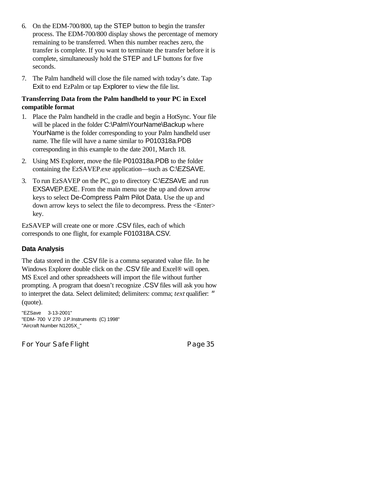- 6. On the EDM-700/800, tap the STEP button to begin the transfer process. The EDM-700/800 display shows the percentage of memory remaining to be transferred. When this number reaches zero, the transfer is complete. If you want to terminate the transfer before it is complete, simultaneously hold the STEP and LF buttons for five seconds.
- 7. The Palm handheld will close the file named with today's date. Tap Exit to end EzPalm or tap Explorer to view the file list.

#### **Transferring Data from the Palm handheld to your PC in Excel compatible format**

- 1. Place the Palm handheld in the cradle and begin a HotSync. Your file will be placed in the folder C:\Palm\YourName\Backup where YourName is the folder corresponding to your Palm handheld user name. The file will have a name similar to P010318a.PDB corresponding in this example to the date 2001, March 18.
- 2. Using MS Explorer, move the file P010318a.PDB to the folder containing the EzSAVEP.exe application—such as C:\EZSAVE.
- 3. To run EzSAVEP on the PC, go to directory C:\EZSAVE and run EXSAVEP.EXE. From the main menu use the up and down arrow keys to select De-Compress Palm Pilot Data. Use the up and down arrow keys to select the file to decompress. Press the <Enter> key.

EzSAVEP will create one or more .CSV files, each of which corresponds to one flight, for example F010318A.CSV.

#### **Data Analysis**

The data stored in the .CSV file is a comma separated value file. In he Windows Explorer double click on the .CSV file and Excel® will open. MS Excel and other spreadsheets will import the file without further prompting. A program that doesn't recognize .CSV files will ask you how to interpret the data. Select delimited; delimiters: comma; *text* qualifier: *"* (quote).

"EZSave 3-13-2001" "EDM- 700 V 270 J.P.Instruments (C) 1998" "Aircraft Number N1205X\_"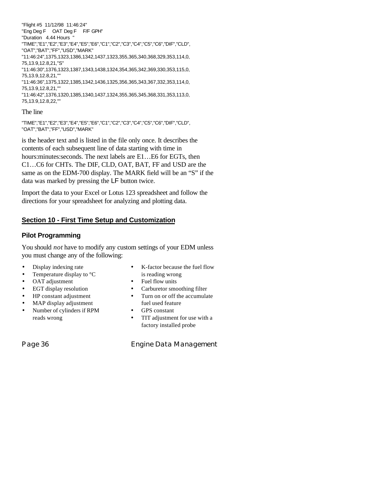"Flight #5 11/12/98 11:46:24" "Eng Deg F OAT Deg F F/F GPH" "Duration 4.44 Hours " "TIME","E1","E2","E3","E4","E5","E6","C1","C2","C3","C4","C5","C6","DIF","CLD", "OAT","BAT","FF","USD","MARK" "11:46:24",1375,1323,1386,1342,1437,1323,355,365,340,368,329,353,114,0, 75,13.9,12.8,21,"S" "11:46:30",1376,1323,1387,1343,1438,1324,354,365,342,369,330,353,115,0, 75,13.9,12.8,21,"" "11:46:36",1375,1322,1385,1342,1436,1325,356,365,343,367,332,353,114,0, 75,13.9,12.8,21,"" "11:46:42",1376,1320,1385,1340,1437,1324,355,365,345,368,331,353,113,0, 75,13.9,12.8,22,""

#### The line

"TIME","E1","E2","E3","E4","E5","E6","C1","C2","C3","C4","C5","C6","DIF","CLD", "OAT","BAT","FF","USD","MARK"

is the header text and is listed in the file only once. It describes the contents of each subsequent line of data starting with time in hours: minutes: seconds. The next labels are E1... E6 for EGTs, then C1…C6 for CHTs. The DIF, CLD, OAT, BAT, FF and USD are the same as on the EDM-700 display. The MARK field will be an "S" if the data was marked by pressing the LF button twice.

Import the data to your Excel or Lotus 123 spreadsheet and follow the directions for your spreadsheet for analyzing and plotting data.

#### **Section 10 - First Time Setup and Customization**

#### **Pilot Programming**

You should *not* have to modify any custom settings of your EDM unless you must change any of the following:

- Display indexing rate
- Temperature display to  $°C$
- OAT adjustment
- EGT display resolution
- HP constant adjustment
- MAP display adjustment
- Number of cylinders if RPM reads wrong

- K-factor because the fuel flow is reading wrong
- Fuel flow units
- Carburetor smoothing filter
- Turn on or off the accumulate fuel used feature
- GPS constant
- TIT adjustment for use with a factory installed probe

Page 36 **Engine Data Management**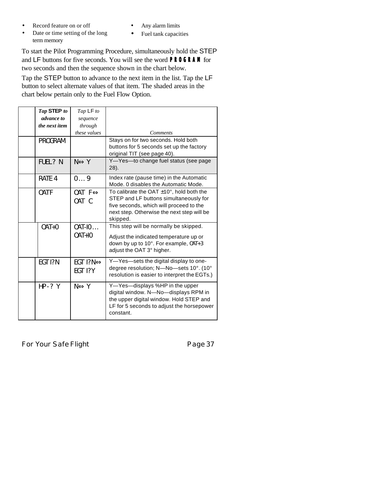- Record feature on or off
- Date or time setting of the long term memory
- Any alarm limits
- Fuel tank capacities

To start the Pilot Programming Procedure, simultaneously hold the STEP and LF buttons for five seconds. You will see the word **PROGRAM** for two seconds and then the sequence shown in the chart below.

Tap the STEP button to advance to the next item in the list. Tap the LF button to select alternate values of that item. The shaded areas in the chart below pertain only to the Fuel Flow Option.

| Tap STEP to    | Tap LF to                                   |                                                                                                                                                                                              |
|----------------|---------------------------------------------|----------------------------------------------------------------------------------------------------------------------------------------------------------------------------------------------|
| advance to     | sequence                                    |                                                                                                                                                                                              |
| the next item  | through                                     |                                                                                                                                                                                              |
|                | these values                                | <b>Comments</b>                                                                                                                                                                              |
| PROGRAM        |                                             | Stays on for two seconds. Hold both                                                                                                                                                          |
|                |                                             | buttons for 5 seconds set up the factory                                                                                                                                                     |
|                |                                             | original TIT (see page 40).                                                                                                                                                                  |
| FUEL? N        | $N \Longleftrightarrow Y$                   | Y-Yes-to change fuel status (see page<br>$28$ ).                                                                                                                                             |
| RATE 4         | 09                                          | Index rate (pause time) in the Automatic<br>Mode, 0 disables the Automatic Mode.                                                                                                             |
| OAT F          | $0AT \ F \Leftrightarrow$<br>OAT C          | To calibrate the OAT $\pm$ 10°, hold both the<br>STEP and LF buttons simultaneously for<br>five seconds, which will proceed to the<br>next step. Otherwise the next step will be<br>skipped. |
| $0AT+0$        | $0$ AT-IO $\ldots$<br>$0AT+10$              | This step will be normally be skipped.<br>Adjust the indicated temperature up or<br>down by up to 10°. For example, 0AT+3<br>adjust the OAT 3° higher.                                       |
| <b>EGT 1?N</b> | EGT 1?N $\Leftrightarrow$<br><b>EGT 1?Y</b> | Y-Yes-sets the digital display to one-<br>degree resolution; N-No-sets 10°. (10°<br>resolution is easier to interpret the EGTs.)                                                             |
| HP-? Y         | $N \Longleftrightarrow Y$                   | Y-Yes-displays %HP in the upper<br>digital window. N-No-displays RPM in<br>the upper digital window. Hold STEP and<br>LF for 5 seconds to adjust the horsepower<br>constant.                 |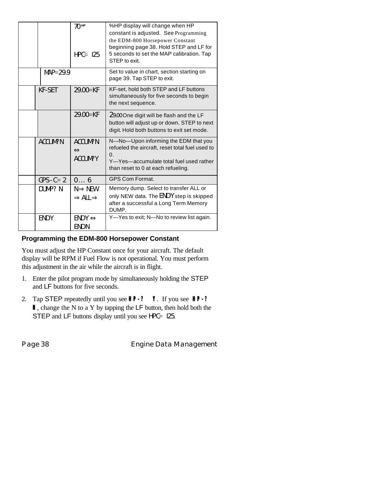|               | $70$ HP<br>$HPC = 125$                              | %HP display will change when HP<br>constant is adjusted. See Programming<br>the EDM-800 Horsepower Constant<br>beginning page 38. Hold STEP and LF for<br>5 seconds to set the MAP calibration. Tap<br>STEP to exit. |
|---------------|-----------------------------------------------------|----------------------------------------------------------------------------------------------------------------------------------------------------------------------------------------------------------------------|
| $MAP=29.9$    |                                                     | Set to value in chart, section starting on<br>page 39. Tap STEP to exit.                                                                                                                                             |
| <b>KF-SET</b> | $29.00 = KF$                                        | KF-set, hold both STEP and LF buttons<br>simultaneously for five seconds to begin<br>the next sequence.                                                                                                              |
|               | $29.00 = KF$                                        | 29.00 One digit will be flash and the LF<br>button will adjust up or down. STEP to next<br>digit. Hold both buttons to exit set mode.                                                                                |
| ACCUM?N       | ACCUM?N<br>$\Leftrightarrow$<br>ACCUM?Y             | N-No-Upon informing the EDM that you<br>refueled the aircraft, reset total fuel used to<br>$\Omega$ .<br>Y-Yes-accumulate total fuel used rather<br>than reset to 0 at each refueling.                               |
| $GPS - C = 2$ | $0 \ldots 6$                                        | <b>GPS Com Format.</b>                                                                                                                                                                                               |
| DUMP? N       | $N \implies NEW$<br>$\Rightarrow$ ALL $\Rightarrow$ | Memory dump. Select to transfer ALL or<br>only NEW data. The END Y step is skipped<br>after a successful a Long Term Memory<br>DUMP.                                                                                 |
| <b>ENDY</b>   | $ENDY \Leftrightarrow$<br>END <sub>N</sub>          | Y-Yes to exit; N-No to review list again.                                                                                                                                                                            |

# **Programming the EDM-800 Horsepower Constant**

You must adjust the HP Constant once for your aircraft. The default display will be RPM if Fuel Flow is not operational. You must perform this adjustment in the air while the aircraft is in flight.

- 1. Enter the pilot program mode by simultaneously holding the STEP and LF buttons for five seconds.
- 2. Tap STEP repeatedly until you see **HP-? Y**. If you see **HP-? N**, change the N to a Y by tapping the LF button, then hold both the STEP and LF buttons display until you see HPC= 125.

Page 38 **Engine Data Management**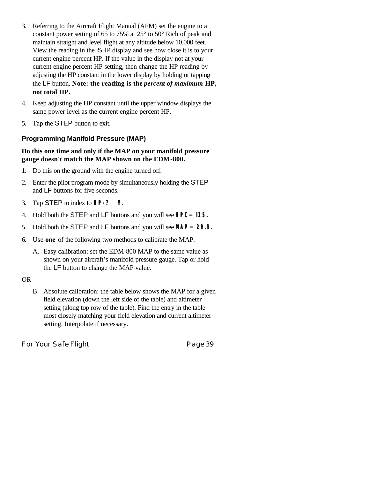- 3. Referring to the Aircraft Flight Manual (AFM) set the engine to a constant power setting of 65 to 75% at 25° to 50° Rich of peak and maintain straight and level flight at any altitude below 10,000 feet. View the reading in the %HP display and see how close it is to your current engine percent HP. If the value in the display not at your current engine percent HP setting, then change the HP reading by adjusting the HP constant in the lower display by holding or tapping the LF button. **Note: the reading is the** *percent of maximum* **HP, not total HP.**
- 4. Keep adjusting the HP constant until the upper window displays the same power level as the current engine percent HP.
- 5. Tap the STEP button to exit.

# **Programming Manifold Pressure (MAP)**

#### **Do this one time and only if the MAP on your manifold pressure gauge doesn't match the MAP shown on the EDM-800.**

- 1. Do this on the ground with the engine turned off.
- 2. Enter the pilot program mode by simultaneously holding the STEP and LF buttons for five seconds.
- 3. Tap STEP to index to **HP-? Y**.
- 4. Hold both the STEP and LF buttons and you will see **HPC**= **I25.**
- 5. Hold both the STEP and LF buttons and you will see **MAP**= **29.9.**
- 6. Use **one** of the following two methods to calibrate the MAP.
	- A. Easy calibration: set the EDM-800 MAP to the same value as shown on your aircraft's manifold pressure gauge. Tap or hold the LF button to change the MAP value.

#### OR

B. Absolute calibration: the table below shows the MAP for a given field elevation (down the left side of the table) and altimeter setting (along top row of the table). Find the entry in the table most closely matching your field elevation and current altimeter setting. Interpolate if necessary.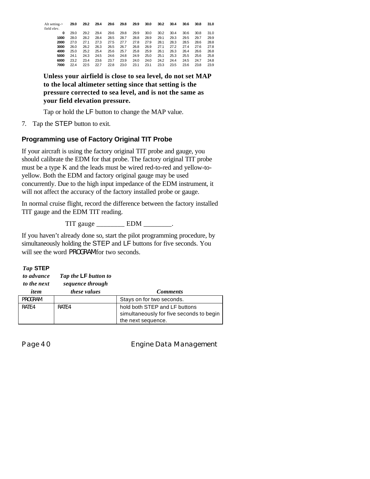| Alt setting- $>$ | 29.0 | 29.2 | 29.4 | 29.6 | 29.8 | 29.9 | 30.0 | 30.2 | 30.4 | 30.6 | 30.8 | 31.0 |
|------------------|------|------|------|------|------|------|------|------|------|------|------|------|
| field elev.      |      |      |      |      |      |      |      |      |      |      |      |      |
| 0                | 29.0 | 29.2 | 29.4 | 29.6 | 29.8 | 29.9 | 30.0 | 30.2 | 30.4 | 30.6 | 30.8 | 31.0 |
| 1000             | 28.0 | 28.2 | 28.4 | 28.5 | 28.7 | 28.8 | 28.9 | 29.1 | 29.3 | 29.5 | 29.7 | 29.9 |
| 2000             | 27.0 | 27.1 | 27.3 | 27.5 | 27.7 | 27.8 | 27.9 | 28.1 | 28.3 | 28.5 | 28.6 | 28.8 |
| 3000             | 26.0 | 26.2 | 26.3 | 26.5 | 26.7 | 26.8 | 26.9 | 27.1 | 27.2 | 27.4 | 27.6 | 27.8 |
| 4000             | 25.0 | 25.2 | 25.4 | 25.6 | 25.7 | 25.8 | 25.9 | 26.1 | 26.3 | 26.4 | 26.6 | 26.8 |
| 5000             | 24.1 | 24.3 | 24.5 | 24.6 | 24.8 | 24.9 | 25.0 | 25.1 | 25.3 | 25.5 | 25.6 | 25.8 |
| 6000             | 23.2 | 23.4 | 23.6 | 23.7 | 23.9 | 24.0 | 24.0 | 24.2 | 24.4 | 24.5 | 24.7 | 24.8 |
| 7000             | 22.4 | 22.5 | 22.7 | 22.8 | 23.0 | 23.1 | 23.1 | 23.3 | 23.5 | 23.6 | 23.8 | 23.9 |
|                  |      |      |      |      |      |      |      |      |      |      |      |      |

**Unless your airfield is close to sea level, do not set MAP to the local altimeter setting since that setting is the pressure corrected to sea level, and is not the same as your field elevation pressure.**

Tap or hold the LF button to change the MAP value.

7. Tap the STEP button to exit.

# **Programming use of Factory Original TIT Probe**

If your aircraft is using the factory original TIT probe and gauge, you should calibrate the EDM for that probe. The factory original TIT probe must be a type K and the leads must be wired red-to-red and yellow-toyellow. Both the EDM and factory original gauge may be used concurrently. Due to the high input impedance of the EDM instrument, it will not affect the accuracy of the factory installed probe or gauge.

In normal cruise flight, record the difference between the factory installed TIT gauge and the EDM TIT reading.

TIT gauge \_\_\_\_\_\_\_\_\_\_ EDM \_\_\_\_\_\_\_\_.

If you haven't already done so, start the pilot programming procedure, by simultaneously holding the STEP and LF buttons for five seconds. You will see the word PROGRAM for two seconds.

#### *Tap* **STEP**

| to advance<br>to the next<br>item | Tap the <b>LF</b> button to<br>sequence through<br><i>these values</i> | <b>Comments</b>                                                                                 |
|-----------------------------------|------------------------------------------------------------------------|-------------------------------------------------------------------------------------------------|
| PROGRAM                           |                                                                        | Stays on for two seconds.                                                                       |
| RATE 4                            | RATF4                                                                  | hold both STEP and LF buttons<br>simultaneously for five seconds to begin<br>the next sequence. |

Page 40 **Engine Data Management**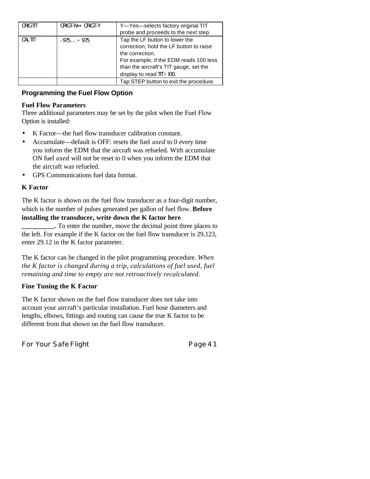| ORIG TIT | $ORIGT-N \Leftrightarrow ORIGT-Y$ | Y-Yes-selects factory original TIT      |
|----------|-----------------------------------|-----------------------------------------|
|          |                                   | probe and proceeds to the next step.    |
| CAL TIT  | $-975+975$                        | Tap the LF button to lower the          |
|          |                                   | correction; hold the LF button to raise |
|          |                                   | the correction.                         |
|          |                                   | For example, if the EDM reads 100 less  |
|          |                                   | than the aircraft's TIT gauge, set the  |
|          |                                   | display to read $TIT + 100$ .           |
|          |                                   | Tap STEP button to exit the procedure.  |

# **Programming the Fuel Flow Option**

#### **Fuel Flow Parameters**

Three additional parameters may be set by the pilot when the Fuel Flow Option is installed:

- K Factor—the fuel flow transducer calibration constant.
- Accumulate—default is OFF: resets the fuel *used* to 0 every time you inform the EDM that the aircraft was refueled. With accumulate ON fuel *used* will not be reset to 0 when you inform the EDM that the aircraft was refueled.
- GPS Communications fuel data format.

#### **K Factor**

The K factor is shown on the fuel flow transducer as a four-digit number, which is the number of pulses generated per gallon of fuel flow. **Before installing the transducer, write down the K factor here**

**\_\_\_\_\_\_\_\_\_.** To enter the number, move the decimal point three places to the left. For example if the K factor on the fuel flow transducer is 29,123, enter 29.12 in the K factor parameter.

The K factor can be changed in the pilot programming procedure. *When the K factor is changed during a trip, calculations of fuel used, fuel remaining and time to empty are not retroactively recalculated.*

#### **Fine Tuning the K Factor**

The K factor shown on the fuel flow transducer does not take into account your aircraft's particular installation. Fuel hose diameters and lengths, elbows, fittings and routing can cause the true K factor to be different from that shown on the fuel flow transducer.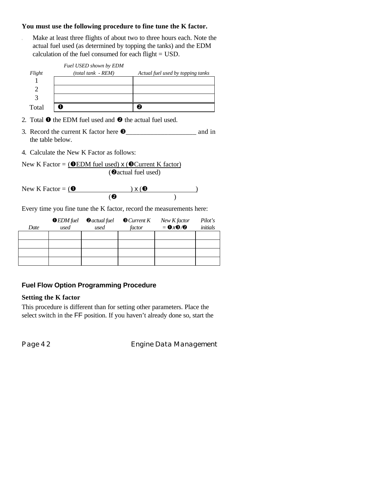#### **You must use the following procedure to fine tune the K factor.**

Make at least three flights of about two to three hours each. Note the actual fuel used (as determined by topping the tanks) and the EDM calculation of the fuel consumed for each flight = USD.

|        | Fuel USED shown by EDM |                                   |
|--------|------------------------|-----------------------------------|
| Flight | $(total tank - REM)$   | Actual fuel used by topping tanks |
|        |                        |                                   |
|        |                        |                                   |
|        |                        |                                   |
| Total  |                        |                                   |

2. Total  $\bullet$  the EDM fuel used and  $\bullet$  the actual fuel used.

- 3. Record the current K factor here  $\bullet$  \_\_\_\_\_\_\_\_\_\_\_\_\_\_\_\_\_\_\_\_\_ and in the table below.
- 4. Calculate the New K Factor as follows:

New K Factor = (**O**EDM fuel used)  $x$  (**O**Current K factor) (@actual fuel used)

New K Factor =  $($   $\bullet$  ) x  $($   $\bullet$   $)$  $($ 

Every time you fine tune the K factor, record the measurements here:

|      | $\bullet$ EDM fuel | $\bullet$ actual fuel | $\bullet$ Current K | New K factor   | Pilot's         |
|------|--------------------|-----------------------|---------------------|----------------|-----------------|
| Date | used               | used                  | factor              | $= 0 \times 0$ | <i>initials</i> |
|      |                    |                       |                     |                |                 |
|      |                    |                       |                     |                |                 |
|      |                    |                       |                     |                |                 |
|      |                    |                       |                     |                |                 |

#### **Fuel Flow Option Programming Procedure**

#### **Setting the K factor**

This procedure is different than for setting other parameters. Place the select switch in the FF position. If you haven't already done so, start the

Page 42 **Engine Data Management**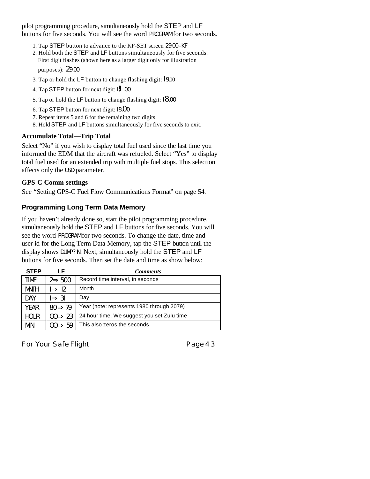pilot programming procedure, simultaneously hold the STEP and LF buttons for five seconds. You will see the word PROGRAM for two seconds.

- 1. Tap STEP button to advance to the KF-SET screen 29.00=KF
- 2. Hold both the STEP and LF buttons simultaneously for five seconds. First digit flashes (shown here as a larger digit only for illustration purposes): 29.00
- 3. Tap or hold the LF button to change flashing digit: I 9.00
- 4. Tap STEP button for next digit: I **9**.00
- 5. Tap or hold the LF button to change flashing digit: 18.00
- 6. Tap STEP button for next digit: I8.00
- 7. Repeat items 5 and 6 for the remaining two digits.
- 8. Hold STEP and LF buttons simultaneously for five seconds to exit.

#### **Accumulate Total—Trip Total**

Select "No" if you wish to display total fuel used since the last time you informed the EDM that the aircraft was refueled. Select "Yes" to display total fuel used for an extended trip with multiple fuel stops. This selection affects only the USD parameter.

#### **GPS-C Comm settings**

See "Setting GPS-C Fuel Flow Communications Format" on page 54.

#### **Programming Long Term Data Memory**

If you haven't already done so, start the pilot programming procedure, simultaneously hold the STEP and LF buttons for five seconds. You will see the word PROGRAM for two seconds. To change the date, time and user id for the Long Term Data Memory, tap the STEP button until the display shows DUMP? N. Next, simultaneously hold the STEP and LF buttons for five seconds. Then set the date and time as show below:

| <b>STEP</b> | LF.                 | <b>Comments</b>                            |
|-------------|---------------------|--------------------------------------------|
| <b>TIME</b> | $2 \Rightarrow 500$ | Record time interval, in seconds           |
| <b>MNTH</b> | $l \Rightarrow 12$  | Month                                      |
| DAY         | $\Rightarrow$ 31    | Day                                        |
| <b>YEAR</b> | $80 \Rightarrow 79$ | Year (note: represents 1980 through 2079)  |
| <b>HOUR</b> | $00 \Rightarrow 23$ | 24 hour time. We suggest you set Zulu time |
| <b>MIN</b>  | $00 \Rightarrow 59$ | This also zeros the seconds                |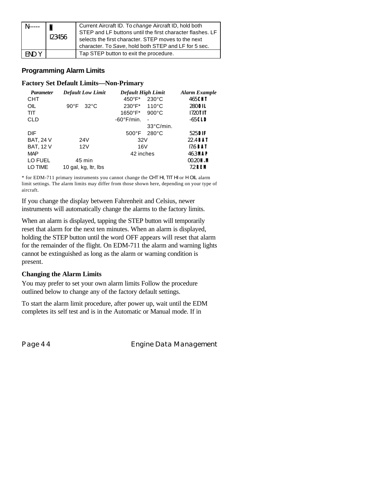|       | N<br>123456 | Current Aircraft ID. To change Aircraft ID, hold both<br>STEP and LF buttons until the first character flashes. LF<br>selects the first character. STEP moves to the next<br>character. To Save, hold both STEP and LF for 5 sec. |
|-------|-------------|-----------------------------------------------------------------------------------------------------------------------------------------------------------------------------------------------------------------------------------|
| FND Y |             | Tap STEP button to exit the procedure.                                                                                                                                                                                            |

#### **Programming Alarm Limits**

#### **Factory Set Default Limits—Non-Primary**

| <b>Parameter</b> | <b>Default Low Limit</b>         | <b>Default High Limit</b>           | <b>Alarm Example</b> |
|------------------|----------------------------------|-------------------------------------|----------------------|
| <b>CHT</b>       |                                  | $450^{\circ}$ F*<br>$230^{\circ}$ C | 465 CHT              |
| OIL              | $90^{\circ}$ F<br>$32^{\circ}$ C | $230^{\circ}F^*$<br>$110^{\circ}$ C | 280 OIL              |
| <b>TIT</b>       |                                  | 1650°F*<br>$900^{\circ}$ C          | $1720$ TIT           |
| <b>CLD</b>       |                                  | $-60^{\circ}$ F/min.<br>٠           | $-65$ CLD            |
|                  |                                  | $33^{\circ}$ C/min.                 |                      |
| <b>DIF</b>       |                                  | $280^{\circ}$ C<br>$500^{\circ}$ F  | 525 DIF              |
| <b>BAT, 24 V</b> | 24 <sub>V</sub>                  | 32V                                 | 22.4 <b>BAT</b>      |
| <b>BAT, 12 V</b> | 12V                              | 16V                                 | 17.6 <b>BAT</b>      |
| <b>MAP</b>       |                                  | 42 inches                           | 46.3 MAP             |
| LO FUEL          | 45 min                           |                                     | $00.20$ H.M          |
| LO TIME          | 10 gal, kg, ltr, lbs             |                                     | 7.2 REM              |

\* for EDM-711 primary instruments you cannot change the CHT HI, TIT HI or H OIL alarm limit settings. The alarm limits may differ from those shown here, depending on your type of aircraft.

If you change the display between Fahrenheit and Celsius, newer instruments will automatically change the alarms to the factory limits.

When an alarm is displayed, tapping the STEP button will temporarily reset that alarm for the next ten minutes. When an alarm is displayed, holding the STEP button until the word OFF appears will reset that alarm for the remainder of the flight. On EDM-711 the alarm and warning lights cannot be extinguished as long as the alarm or warning condition is present.

#### **Changing the Alarm Limits**

You may prefer to set your own alarm limits Follow the procedure outlined below to change any of the factory default settings.

To start the alarm limit procedure, after power up, wait until the EDM completes its self test and is in the Automatic or Manual mode. If in

Page 44 **Engine Data Management**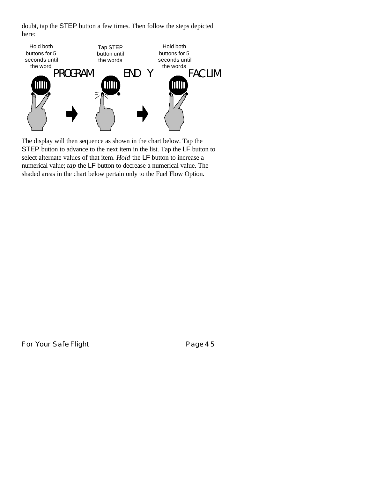doubt, tap the STEP button a few times. Then follow the steps depicted here:



The display will then sequence as shown in the chart below. Tap the STEP button to advance to the next item in the list. Tap the LF button to select alternate values of that item. *Hold* the LF button to increase a numerical value; *tap* the LF button to decrease a numerical value. The shaded areas in the chart below pertain only to the Fuel Flow Option.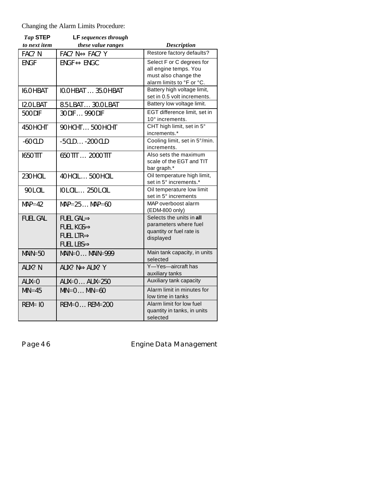Changing the Alarm Limits Procedure:

| Tap STEP<br>to next item | <b>LF</b> sequences through<br>these value ranges                                                    | <b>Description</b>                                                                                      |
|--------------------------|------------------------------------------------------------------------------------------------------|---------------------------------------------------------------------------------------------------------|
| FAC? N                   | $FAC? N \Leftrightarrow FAC? Y$                                                                      | Restore factory defaults?                                                                               |
| <b>ENGF</b>              | $ENGF \Leftrightarrow ENGC$                                                                          | Select F or C degrees for<br>all engine temps. You<br>must also change the<br>alarm limits to °F or °C. |
| I6.0HBAT                 | IO.OHBAT  35.OHBAT                                                                                   | Battery high voltage limit,<br>set in 0.5 volt increments.                                              |
| I2.0 L BAT               | 8.5 L BAT 30.0 L BAT                                                                                 | Battery low voltage limit.                                                                              |
| 500 DIF                  | 30 DIF  990 DIF                                                                                      | EGT difference limit, set in<br>10° increments.                                                         |
| 450HCHT                  | 90НСНТ 500 НСНТ                                                                                      | CHT high limit, set in 5°<br>increments.*                                                               |
| $-60$ CLD                | $-5$ CLD $\ldots$ $-200$ CLD                                                                         | Cooling limit, set in 5°/min.<br>increments.                                                            |
| <b>1650 TIT</b>          | 650 TIT  2000 TIT                                                                                    | Also sets the maximum<br>scale of the EGT and TIT<br>bar graph.*                                        |
| 230 H OIL                | 40 HOIL  500 HOIL                                                                                    | Oil temperature high limit,<br>set in 5° increments.*                                                   |
| 90 L OIL                 | IOLOIL  250 LOIL                                                                                     | Oil temperature low limit<br>set in 5° increments                                                       |
| $MAP=42$                 | $MAP = 25MAP = 60$                                                                                   | MAP overboost alarm<br>(EDM-800 only)                                                                   |
| <b>FUEL GAL</b>          | FUEL GAL $\Rightarrow$<br>FUEL KGS $\Rightarrow$<br>FUEL LTR $\Rightarrow$<br>FUEL LBS $\Rightarrow$ | Selects the units in all<br>parameters where fuel<br>quantity or fuel rate is<br>displayed              |
| $MAIN = 50$              | $MAIN=0MAIN=999$                                                                                     | Main tank capacity, in units<br>selected                                                                |
| AUX? N                   | AUX? N⇔AUX? Y                                                                                        | Y-Yes-aircraft has<br>auxiliary tanks                                                                   |
| $AUX=0$                  | $AUX=0$ $AUX=250$                                                                                    | Auxiliary tank capacity                                                                                 |
| $MIN = 45$               | $MIN = 0$ $MIN = 60$                                                                                 | Alarm limit in minutes for<br>low time in tanks                                                         |
| $REM = 10$               | $REM = 0$ $REM = 200$                                                                                | Alarm limit for low fuel<br>quantity in tanks, in units<br>selected                                     |

Page 46 **Engine Data Management**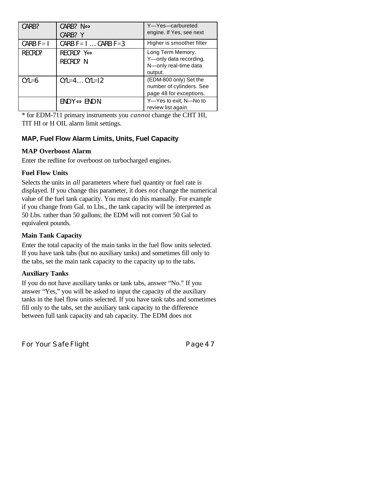| CARB?        | CARB? $N \Leftrightarrow$<br>CARB? Y   | Y-Yes-carbureted<br>engine. If Yes, see next                                    |
|--------------|----------------------------------------|---------------------------------------------------------------------------------|
| CARB $F = I$ | CARB $F = 1$ CARB $F = 3$              | Higher is smoother filter                                                       |
| RECRD?       | RECRD? $Y \Leftrightarrow$<br>RECRD? N | Long Term Memory.<br>Y-only data recording.<br>N-only real-time data<br>output. |
| $CYL=6$      | $CYL=4$ $CYL=12$                       | (EDM-800 only) Set the<br>number of cylinders. See<br>page 48 for exceptions.   |
|              | $END Y \Leftrightarrow END N$          | Y-Yes to exit; N-No to<br>review list again                                     |

\* for EDM-711 primary instruments you *cannot* change the CHT HI, TIT HI or H OIL alarm limit settings.

# **MAP, Fuel Flow Alarm Limits, Units, Fuel Capacity**

# **MAP Overboost Alarm**

Enter the redline for overboost on turbocharged engines.

# **Fuel Flow Units**

Selects the units in *all* parameters where fuel quantity or fuel rate is displayed. If you change this parameter, it does *not* change the numerical value of the fuel tank capacity. You must do this manually. For example if you change from Gal. to Lbs., the tank capacity will be interpreted as 50 Lbs. rather than 50 gallons; the EDM will not convert 50 Gal to equivalent pounds.

# **Main Tank Capacity**

Enter the total capacity of the main tanks in the fuel flow units selected. If you have tank tabs (but no auxiliary tanks) and sometimes fill only to the tabs, set the main tank capacity to the capacity up to the tabs.

# **Auxiliary Tanks**

If you do not have auxiliary tanks or tank tabs, answer "No." If you answer "Yes," you will be asked to input the capacity of the auxiliary tanks in the fuel flow units selected. If you have tank tabs and sometimes fill only to the tabs, set the auxiliary tank capacity to the difference between full tank capacity and tab capacity. The EDM does not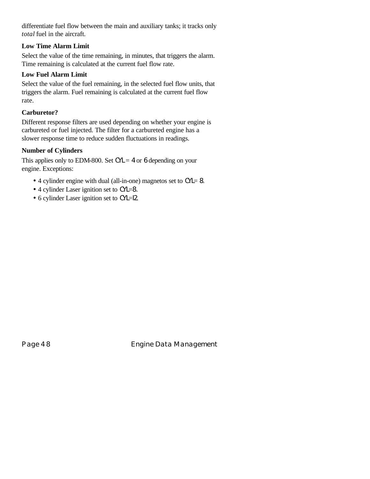differentiate fuel flow between the main and auxiliary tanks; it tracks only *total* fuel in the aircraft.

#### **Low Time Alarm Limit**

Select the value of the time remaining, in minutes, that triggers the alarm. Time remaining is calculated at the current fuel flow rate.

#### **Low Fuel Alarm Limit**

Select the value of the fuel remaining, in the selected fuel flow units, that triggers the alarm. Fuel remaining is calculated at the current fuel flow rate.

#### **Carburetor?**

Different response filters are used depending on whether your engine is carbureted or fuel injected. The filter for a carbureted engine has a slower response time to reduce sudden fluctuations in readings.

#### **Number of Cylinders**

This applies only to EDM-800. Set  $CYL = 4$  or 6 depending on your engine. Exceptions:

- 4 cylinder engine with dual (all-in-one) magnetos set to CYL= 8.
- 4 cylinder Laser ignition set to CYL=8.
- 6 cylinder Laser ignition set to CYL=l2.

Page 48 **Engine Data Management**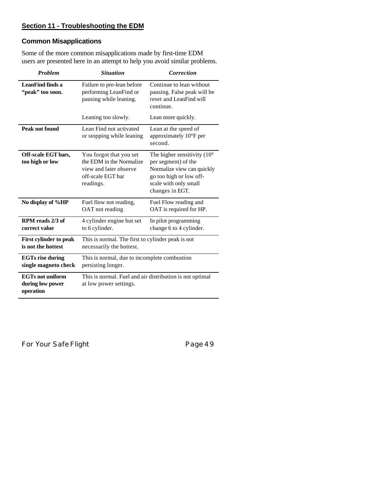# **Section 11 - Troubleshooting the EDM**

# **Common Misapplications**

Some of the more common misapplications made by first-time EDM users are presented here in an attempt to help you avoid similar problems.

| <b>Problem</b>                                           | <b>Situation</b>                                                                                                | <b>Correction</b>                                                                                                                                                |
|----------------------------------------------------------|-----------------------------------------------------------------------------------------------------------------|------------------------------------------------------------------------------------------------------------------------------------------------------------------|
| LeanFind finds a<br>"peak" too soon.                     | Failure to pre-lean before<br>performing LeanFind or<br>pausing while leaning.                                  | Continue to lean without<br>pausing. False peak will be<br>reset and LeanFind will<br>continue.                                                                  |
|                                                          | Leaning too slowly.                                                                                             | Lean more quickly.                                                                                                                                               |
| Peak not found                                           | Lean Find not activated<br>or stopping while leaning                                                            | Lean at the speed of<br>approximately 10°F per<br>second.                                                                                                        |
| Off-scale EGT bars,<br>too high or low                   | You forgot that you set<br>the EDM in the Normalize<br>view and later observe<br>off-scale EGT bar<br>readings. | The higher sensitivity $(10^{\circ}$<br>per segment) of the<br>Normalize view can quickly<br>go too high or low off-<br>scale with only small<br>changes in EGT. |
| No display of %HP                                        | Fuel flow not reading,<br>OAT not reading                                                                       | Fuel Flow reading and<br>OAT is required for HP.                                                                                                                 |
| RPM reads 2/3 of<br>correct value                        | 4 cylinder engine but set<br>to 6 cylinder.                                                                     | In pilot programming<br>change 6 to 4 cylinder.                                                                                                                  |
| <b>First cylinder to peak</b><br>is not the hottest      | This is normal. The first to cylinder peak is not<br>necessarily the hottest.                                   |                                                                                                                                                                  |
| <b>EGTs rise during</b><br>single magneto check          | This is normal, due to incomplete combustion<br>persisting longer.                                              |                                                                                                                                                                  |
| <b>EGTs not uniform</b><br>during low power<br>operation | This is normal. Fuel and air distribution is not optimal<br>at low power settings.                              |                                                                                                                                                                  |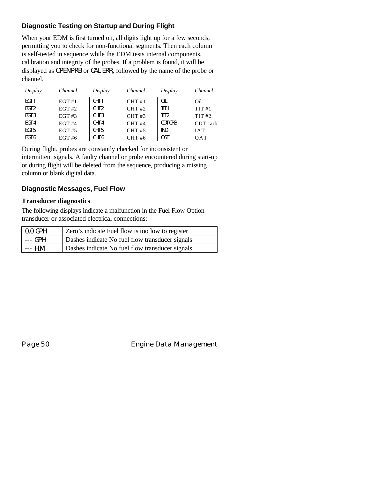# **Diagnostic Testing on Startup and During Flight**

When your EDM is first turned on, all digits light up for a few seconds, permitting you to check for non-functional segments. Then each column is self-tested in sequence while the EDM tests internal components, calibration and integrity of the probes. If a problem is found, it will be displayed as OPEN PRB or CAL ERR**,** followed by the name of the probe or channel.

| Display          | Channel       | Display          | Channel | Display          | Channel    |
|------------------|---------------|------------------|---------|------------------|------------|
| EGT I            | EGT#1         | CHT I            | CHT#1   | OIL              | Oil        |
| EGT <sub>2</sub> | $EGT$ #2      | CHT <sub>2</sub> | CHT#2   | TIT I            | TIT#1      |
| EGT <sub>3</sub> | $EGT \#3$     | CHT <sub>3</sub> | CHT#3   | TIT <sub>2</sub> | TIT#2      |
| EGT <sub>4</sub> | EGT H4        | CHT <sub>4</sub> | CHT#4   | CDT CRB          | CDT carb   |
| EGT <sub>5</sub> | $EGT \#5$     | CHT <sub>5</sub> | CHT#5   | <b>IND</b>       | <b>IAT</b> |
| EGT 6            | <b>EGT #6</b> | CHT <sub>6</sub> | CHT#6   | 0AT              | OAT        |

During flight, probes are constantly checked for inconsistent or intermittent signals. A faulty channel or probe encountered during start-up or during flight will be deleted from the sequence, producing a missing column or blank digital data.

# **Diagnostic Messages, Fuel Flow**

#### **Transducer diagnostics**

The following displays indicate a malfunction in the Fuel Flow Option transducer or associated electrical connections:

| 0.0 GPH | Zero's indicate Fuel flow is too low to register |
|---------|--------------------------------------------------|
| --- GPH | Dashes indicate No fuel flow transducer signals  |
| --- H.M | Dashes indicate No fuel flow transducer signals  |

Page 50 **Engine Data Management**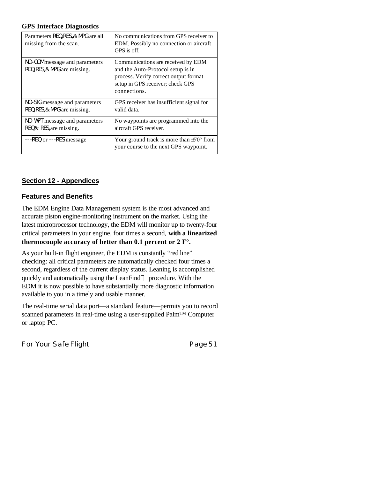#### **GPS Interface Diagnostics**

| Parameters REQ, RES, & MPG are all<br>missing from the scan.     | No communications from GPS receiver to<br>EDM. Possibly no connection or aircraft<br>GPS is off.                                                                     |
|------------------------------------------------------------------|----------------------------------------------------------------------------------------------------------------------------------------------------------------------|
| NO-COM message and parameters<br>$REQ, RES, \& MPG$ are missing. | Communications are received by EDM<br>and the Auto-Protocol setup is in<br>process. Verify correct output format<br>setup in GPS receiver; check GPS<br>connections. |
| NO-SIG message and parameters<br>REQ, RES, & MPG are missing.    | GPS receiver has insufficient signal for<br>valid data.                                                                                                              |
| NO-WPT message and parameters<br>$REQ & RES$ are missing.        | No waypoints are programmed into the<br>aircraft GPS receiver.                                                                                                       |
| ---REQ or ---RES message                                         | Your ground track is more than $\pm 70^{\circ}$ from<br>your course to the next GPS waypoint.                                                                        |

# **Section 12 - Appendices**

#### **Features and Benefits**

The EDM Engine Data Management system is the most advanced and accurate piston engine-monitoring instrument on the market. Using the latest microprocessor technology, the EDM will monitor up to twenty-four critical parameters in your engine, four times a second, **with a linearized thermocouple accuracy of better than 0.1 percent or 2 F°.**

As your built-in flight engineer, the EDM is constantly "red line" checking: all critical parameters are automatically checked four times a second, regardless of the current display status. Leaning is accomplished quickly and automatically using the LeanFind™ procedure. With the EDM it is now possible to have substantially more diagnostic information available to you in a timely and usable manner.

The real-time serial data port—a standard feature—permits you to record scanned parameters in real-time using a user-supplied Palm™ Computer or laptop PC.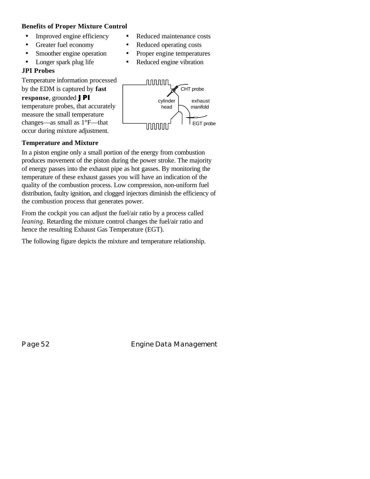#### **Benefits of Proper Mixture Control**

- Improved engine efficiency Reduced maintenance costs
- Greater fuel economy Reduced operating costs
- Smoother engine operation Proper engine temperatures
- Longer spark plug life Reduced engine vibration

#### **JPI Probes**

Temperature information processed by the EDM is captured by **fast response**, grounded *JPI* temperature probes, that accurately measure the small temperature changes—as small as 1°F—that occur during mixture adjustment.



# **Temperature and Mixture**

In a piston engine only a small portion of the energy from combustion produces movement of the piston during the power stroke. The majority of energy passes into the exhaust pipe as hot gasses. By monitoring the temperature of these exhaust gasses you will have an indication of the quality of the combustion process. Low compression, non-uniform fuel distribution, faulty ignition, and clogged injectors diminish the efficiency of the combustion process that generates power.

From the cockpit you can adjust the fuel/air ratio by a process called *leaning*. Retarding the mixture control changes the fuel/air ratio and hence the resulting Exhaust Gas Temperature (EGT).

The following figure depicts the mixture and temperature relationship.

Page 52 **Engine Data Management**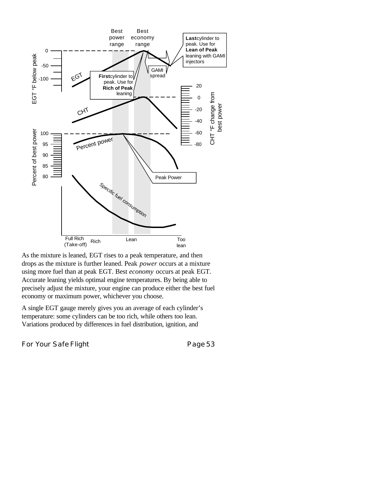

As the mixture is leaned, EGT rises to a peak temperature, and then drops as the mixture is further leaned. Peak *power* occurs at a mixture using more fuel than at peak EGT. Best *economy* occurs at peak EGT. Accurate leaning yields optimal engine temperatures. By being able to precisely adjust the mixture, your engine can produce either the best fuel economy or maximum power, whichever you choose.

A single EGT gauge merely gives you an average of each cylinder's temperature: some cylinders can be too rich, while others too lean. Variations produced by differences in fuel distribution, ignition, and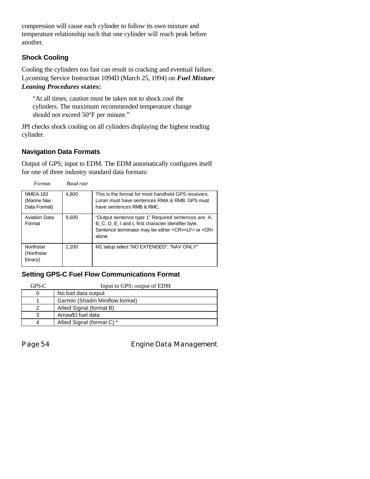compression will cause each cylinder to follow its own mixture and temperature relationship such that one cylinder will reach peak before another.

# **Shock Cooling**

Cooling the cylinders too fast can result in cracking and eventual failure. Lycoming Service Instruction 1094D (March 25, 1994) on *Fuel Mixture Leaning Procedures* **states:**

"At all times, caution must be taken not to shock cool the cylinders. The maximum recommended temperature change should not exceed 50°F per minute."

JPI checks shock cooling on all cylinders displaying the highest reading cylinder.

# **Navigation Data Formats**

Output of GPS; input to EDM. The EDM automatically configures itself for one of three industry standard data formats:

| Format                                         | <b>Baud</b> rate |                                                                                                                                                                                             |
|------------------------------------------------|------------------|---------------------------------------------------------------------------------------------------------------------------------------------------------------------------------------------|
| <b>NMEA-183</b><br>(Marine Nav<br>Data Format) | 4.800            | This is the format for most handheld GPS receivers.<br>Loran must have sentences RMA & RMB. GPS must<br>have sentences RMB & RMC.                                                           |
| <b>Aviation Data</b><br>Format                 | 9.600            | "Output sentence type 1" Required sentences are: A,<br>B, C, D, E, I and L first character identifier byte.<br>Sentence terminator may be either <cr><lf> or <cr><br/>alone.</cr></lf></cr> |
| Northstar<br>(Northstar<br>binary)             | 1.200            | M1 setup select "NO EXTENDED", "NAV ONLY"                                                                                                                                                   |

#### **Setting GPS-C Fuel Flow Communications Format**

| GPS-C | Input to GPS; output of EDM     |
|-------|---------------------------------|
| 0     | No fuel data output             |
|       | Garmin (Shadin Miniflow format) |
|       | Allied Signal (format B)        |
| 3     | Arnav/EI fuel data              |
| 4     | Allied Signal (format C) *      |

Page 54 **Engine Data Management**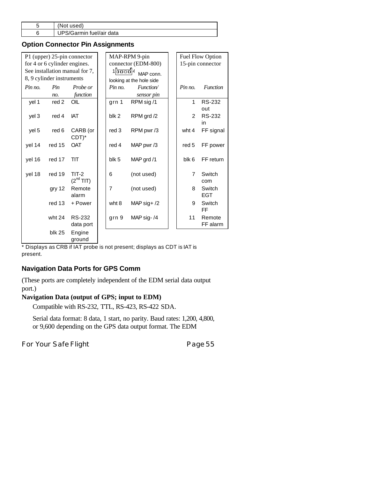| used)<br>'Not            |
|--------------------------|
| UPS/Garmin fuel/air data |

# **Option Connector Pin Assignments**

| P1 (upper) 25-pin connector    |               |                                |  | MAP-RPM 9-pin            |               |  | Fuel Flow Option |                      |  |  |
|--------------------------------|---------------|--------------------------------|--|--------------------------|---------------|--|------------------|----------------------|--|--|
| for 4 or 6 cylinder engines.   |               |                                |  | connector (EDM-800)      |               |  | 15-pin connector |                      |  |  |
| See installation manual for 7, |               |                                |  | 1  <del>2000</del>  4    | MAP conn.     |  |                  |                      |  |  |
| 8, 9 cylinder instruments      |               |                                |  | looking at the hole side |               |  |                  |                      |  |  |
| Pin no.                        | Pin           | Probe or                       |  | Pin no.                  | Function/     |  | Pin no.          | <b>Function</b>      |  |  |
|                                | no.           | function                       |  |                          | sensor pin    |  |                  |                      |  |  |
| yel 1                          | red 2         | OIL                            |  | grn 1                    | RPM sig /1    |  | $\mathbf{1}$     | <b>RS-232</b><br>out |  |  |
| yel 3                          | red 4         | IAT                            |  | blk 2                    | RPM grd /2    |  | $\overline{2}$   | <b>RS-232</b><br>in  |  |  |
| yel 5                          | red 6         | CARB (or<br>$CDT$ <sup>*</sup> |  | red 3                    | RPM pwr/3     |  | wht 4            | FF signal            |  |  |
| yel 14                         | red 15        | <b>OAT</b>                     |  | red 4                    | MAP pwr/3     |  | red 5            | FF power             |  |  |
| yel 16                         | red 17        | TIT                            |  | blk 5                    | MAP grd /1    |  | blk 6            | FF return            |  |  |
| yel 18                         | red 19        | $TIT-2$<br>$(2^{nd}$ TIT)      |  | 6                        | (not used)    |  | $\overline{7}$   | Switch<br>com        |  |  |
|                                | gry 12        | Remote<br>alarm                |  | $\overline{7}$           | (not used)    |  | 8                | Switch<br><b>EGT</b> |  |  |
|                                | red 13        | + Power                        |  | wht 8                    | MAP sig+ $/2$ |  | 9                | Switch<br><b>FF</b>  |  |  |
|                                | wht 24        | RS-232<br>data port            |  | grn 9                    | MAP sig-/4    |  | 11               | Remote<br>FF alarm   |  |  |
|                                | <b>blk 25</b> | Engine<br>ground               |  |                          |               |  |                  |                      |  |  |

\* Displays as CRB if IAT probe is not present; displays as CDT is IAT is present.

# **Navigation Data Ports for GPS Comm**

(These ports are completely independent of the EDM serial data output port.)

#### **Navigation Data (output of GPS; input to EDM)**

Compatible with RS-232, TTL, RS-423, RS-422 SDA.

Serial data format: 8 data, 1 start, no parity. Baud rates: 1,200, 4,800, or 9,600 depending on the GPS data output format. The EDM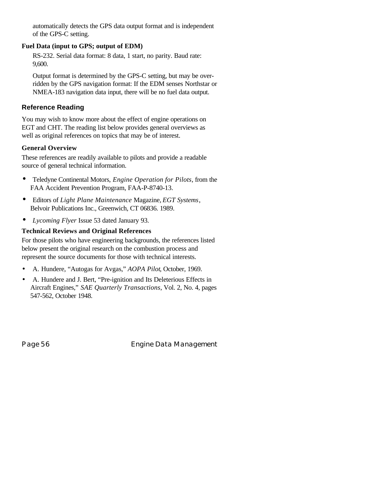automatically detects the GPS data output format and is independent of the GPS-C setting.

#### **Fuel Data (input to GPS; output of EDM)**

RS-232. Serial data format: 8 data, 1 start, no parity. Baud rate: 9,600.

Output format is determined by the GPS-C setting, but may be overridden by the GPS navigation format: If the EDM senses Northstar or NMEA-183 navigation data input, there will be no fuel data output.

# **Reference Reading**

You may wish to know more about the effect of engine operations on EGT and CHT. The reading list below provides general overviews as well as original references on topics that may be of interest.

# **General Overview**

These references are readily available to pilots and provide a readable source of general technical information.

- Teledyne Continental Motors, *Engine Operation for Pilots*, from the FAA Accident Prevention Program, FAA-P-8740-13.
- Editors of *Light Plane Maintenance* Magazine, *EGT Systems*, Belvoir Publications Inc., Greenwich, CT 06836. 1989.
- *Lycoming Flyer* Issue 53 dated January 93.

# **Technical Reviews and Original References**

For those pilots who have engineering backgrounds, the references listed below present the original research on the combustion process and represent the source documents for those with technical interests.

- A. Hundere, "Autogas for Avgas," *AOPA Pilot*, October, 1969.
- A. Hundere and J. Bert, "Pre-ignition and Its Deleterious Effects in Aircraft Engines," *SAE Quarterly Transactions*, Vol. 2, No. 4, pages 547-562, October 1948.

Page 56 **Engine Data Management**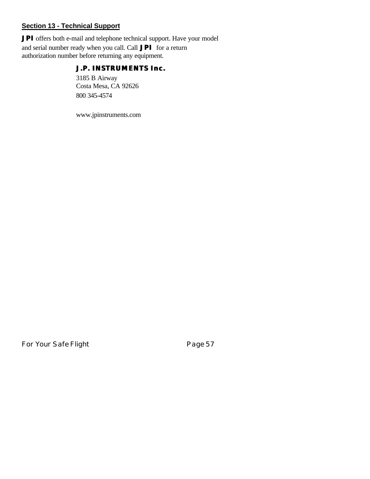# **Section 13 - Technical Support**

*JPI* offers both e-mail and telephone technical support. Have your model and serial number ready when you call. Call *JPI* for a return authorization number before returning any equipment.

# *J.P. INSTRUMENTS Inc.*

3185 B Airway Costa Mesa, CA 92626 800 345-4574

www.jpinstruments.com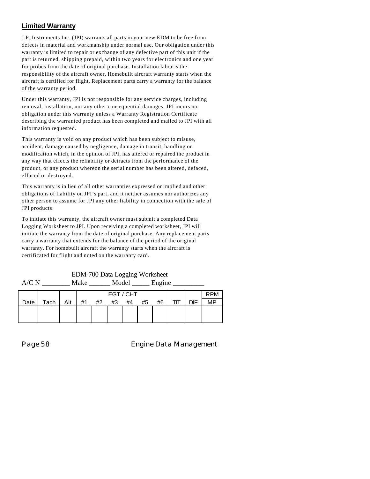# **Limited Warranty**

J.P. Instruments Inc. (JPI) warrants all parts in your new EDM to be free from defects in material and workmanship under normal use. Our obligation under this warranty is limited to repair or exchange of any defective part of this unit if the part is returned, shipping prepaid, within two years for electronics and one year for probes from the date of original purchase. Installation labor is the responsibility of the aircraft owner. Homebuilt aircraft warranty starts when the aircraft is certified for flight. Replacement parts carry a warranty for the balance of the warranty period.

Under this warranty, JPI is not responsible for any service charges, including removal, installation, nor any other consequential damages. JPI incurs no obligation under this warranty unless a Warranty Registration Certificate describing the warranted product has been completed and mailed to JPI with all information requested.

This warranty is void on any product which has been subject to misuse, accident, damage caused by negligence, damage in transit, handling or modification which, in the opinion of JPI, has altered or repaired the product in any way that effects the reliability or detracts from the performance of the product, or any product whereon the serial number has been altered, defaced, effaced or destroyed.

This warranty is in lieu of all other warranties expressed or implied and other obligations of liability on JPI's part, and it neither assumes nor authorizes any other person to assume for JPI any other liability in connection with the sale of JPI products.

To initiate this warranty, the aircraft owner must submit a completed Data Logging Worksheet to JPI. Upon receiving a completed worksheet, JPI will initiate the warranty from the date of original purchase. Any replacement parts carry a warranty that extends for the balance of the period of the original warranty. For homebuilt aircraft the warranty starts when the aircraft is certificated for flight and noted on the warranty card.

| A/C N |      |     | Make      |    | Model<br>Engine |    |    |    |     |     |            |
|-------|------|-----|-----------|----|-----------------|----|----|----|-----|-----|------------|
|       |      |     | EGT / CHT |    |                 |    |    |    |     |     | <b>RPM</b> |
| Date  | Tach | Alt | #1        | #2 | #3              | #4 | #5 | #6 | TIT | DIF | <b>MP</b>  |
|       |      |     |           |    |                 |    |    |    |     |     |            |
|       |      |     |           |    |                 |    |    |    |     |     |            |

EDM-700 Data Logging Worksheet

Page 58 **Engine Data Management**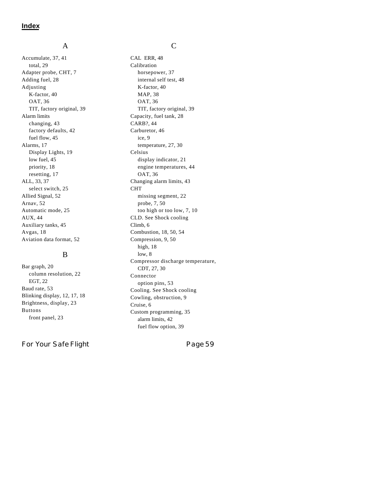#### A

Accumulate, 37, 41 total, 29 Adapter probe, CHT, 7 Adding fuel, 28 Adjusting K-factor, 40 OAT, 36 TIT, factory original, 39 Alarm limits changing, 43 factory defaults, 42 fuel flow, 45 Alarms, 17 Display Lights, 19 low fuel, 45 priority, 18 resetting, 17 ALL, 33, 37 select switch, 25 Allied Signal, 52 Arnav, 52 Automatic mode, 25 AUX, 44 Auxiliary tanks, 45 Avgas, 18 Aviation data format, 52

#### B

Bar graph, 20 column resolution, 22 EGT, 22 Baud rate, 53 Blinking display, 12, 17, 18 Brightness, display, 23 Buttons front panel, 23

For Your Safe Flight **Page 59** 

#### C

CAL ERR, 48 Calibration horsepower, 37 internal self test, 48 K-factor, 40 MAP, 38 OAT, 36 TIT, factory original, 39 Capacity, fuel tank, 28 CARB?, 44 Carburetor, 46 ice, 9 temperature, 27, 30 Celsius display indicator, 21 engine temperatures, 44 OAT, 36 Changing alarm limits, 43 CHT missing segment, 22 probe, 7, 50 too high or too low, 7, 10 CLD. See Shock cooling Climb, 6 Combustion, 18, 50, 54 Compression, 9, 50 high, 18 low, 8 Compressor discharge temperature, CDT, 27, 30 Connector option pins, 53 Cooling. See Shock cooling Cowling, obstruction, 9 Cruise, 6 Custom programming, 35 alarm limits, 42 fuel flow option, 39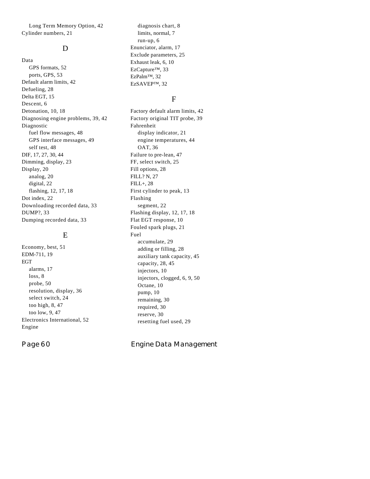Long Term Memory Option, 42 Cylinder numbers, 21

#### D

Data GPS formats, 52 ports, GPS, 53 Default alarm limits, 42 Defueling, 28 Delta EGT, 15 Descent, 6 Detonation, 10, 18 Diagnosing engine problems, 39, 42 Diagnostic fuel flow messages, 48 GPS interface messages, 49 self test, 48 DIF, 17, 27, 30, 44 Dimming, display, 23 Display, 20 analog, 20 digital, 22 flashing, 12, 17, 18 Dot index, 22 Downloading recorded data, 33 DUMP?, 33 Dumping recorded data, 33

#### E

Economy, best, 51 EDM-711, 19 EGT alarms, 17 loss, 8 probe, 50 resolution, display, 36 select switch, 24 too high, 8, 47 too low, 9, 47 Electronics International, 52 Engine

diagnosis chart, 8 limits, normal, 7 run-up, 6 Enunciator, alarm, 17 Exclude parameters, 25 Exhaust leak, 6, 10 EzCapture™, 33 EzPalm™, 32 EzSAVEP™, 32

#### F

Factory default alarm limits, 42 Factory original TIT probe, 39 Fahrenheit display indicator, 21 engine temperatures, 44 OAT, 36 Failure to pre-lean, 47 FF, select switch, 25 Fill options, 28 FILL? N, 27 FILL+, 28 First cylinder to peak, 13 Flashing segment, 22 Flashing display, 12, 17, 18 Flat EGT response, 10 Fouled spark plugs, 21 Fuel accumulate, 29 adding or filling, 28 auxiliary tank capacity, 45 capacity, 28, 45 injectors, 10 injectors, clogged, 6, 9, 50 Octane, 10 pump, 10 remaining, 30 required, 30 reserve, 30 resetting fuel used, 29

Page 60 **Engine Data Management**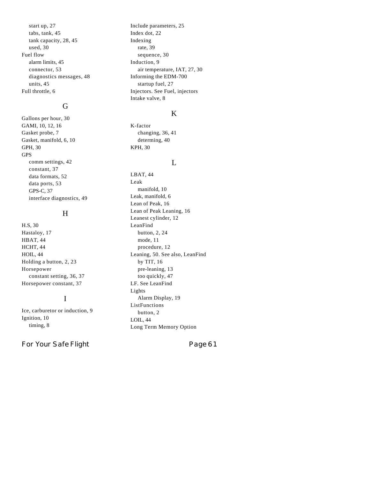start up, 27 tabs, tank, 45 tank capacity, 28, 45 used, 30 Fuel flow alarm limits, 45 connector, 53 diagnostics messages, 48 units, 45 Full throttle, 6

#### G

Gallons per hour, 30 GAMI, 10, 12, 16 Gasket probe, 7 Gasket, manifold, 6, 10 GPH, 30 GPS comm settings, 42 constant, 37 data formats, 52 data ports, 53 GPS-C, 37 interface diagnostics, 49

#### H

H.S, 30 Hastaloy, 17 HBAT, 44 HCHT, 44 HOIL, 44 Holding a button, 2, 23 Horsepower constant setting, 36, 37 Horsepower constant, 37

#### I

Ice, carburetor or induction, 9 Ignition, 10 timing, 8

For Your Safe Flight **Page 61** 

Include parameters, 25 Index dot, 22 Indexing rate, 39 sequence, 30 Induction, 9 air temperature, IAT, 27, 30 Informing the EDM-700 startup fuel, 27 Injectors. See Fuel, injectors Intake valve, 8

#### K

K-factor changing, 36, 41 determing, 40 KPH, 30

#### L

LBAT, 44 Leak manifold, 10 Leak, manifold, 6 Lean of Peak, 16 Lean of Peak Leaning, 16 Leanest cylinder, 12 LeanFind button, 2, 24 mode, 11 procedure, 12 Leaning, 50. See also, LeanFind by TIT, 16 pre-leaning, 13 too quickly, 47 LF. See LeanFind Lights Alarm Display, 19 ListFunctions button, 2 LOIL, 44 Long Term Memory Option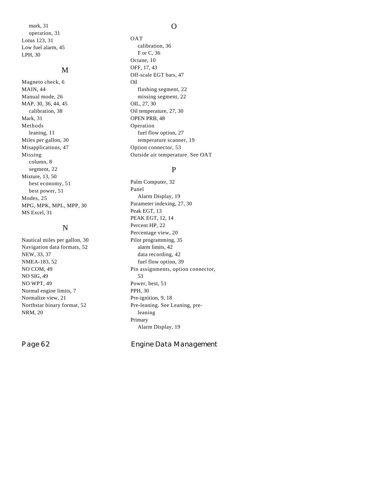mark, 31 operation, 31 Lotus 123, 31 Low fuel alarm, 45 LPH, 30

#### M

Magneto check, 6 MAIN, 44 Manual mode, 26 MAP, 30, 36, 44, 45 calibration, 38 Mark, 31 Methods leaning, 11 Miles per gallon, 30 Misapplications, 47 Missing column, 8 segment, 22 Mixture, 13, 50 best economy, 51 best power, 51 Modes, 25 MPG, MPK, MPL, MPP, 30 MS Excel, 31

# N

Nautical miles per gallon, 30 Navigation data formats, 52 NEW, 33, 37 NMEA-183, 52 NO COM, 49 NO SIG, 49 NO WPT, 49 Normal engine limits, 7 Normalize view, 21 Northstar binary format, 52 NRM, 20

#### O

OAT calibration, 36 F or C, 36 Octane, 10 OFF, 17, 43 Off-scale EGT bars, 47 Oil flashing segment, 22 missing segment, 22 OIL, 27, 30 Oil temperature, 27, 30 OPEN PRB, 48 Operation fuel flow option, 27 temperature scanner, 19 Option connector, 53 Outside air temperature. See OAT

#### P

Palm Computer, 32 Panel Alarm Display, 19 Parameter indexing, 27, 30 Peak EGT, 13 PEAK EGT, 12, 14 Percent HP, 22 Percentage view, 20 Pilot programming, 35 alarm limits, 42 data recording, 42 fuel flow option, 39 Pin assignments, option connector, 53 Power, best, 51 PPH, 30 Pre-ignition, 9, 18 Pre-leaning. See Leaning, preleaning Primary Alarm Display, 19

Page 62 **Engine Data Management**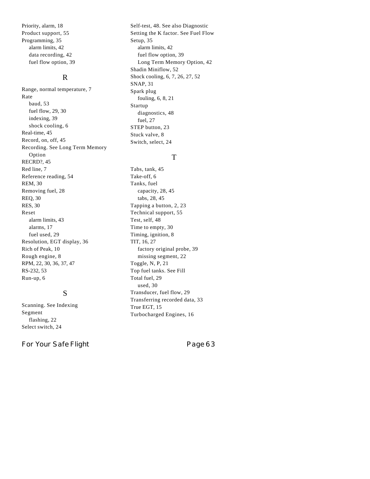Priority, alarm, 18 Product support, 55 Programming, 35 alarm limits, 42 data recording, 42 fuel flow option, 39

#### R

Range, normal temperature, 7 Rate baud, 53 fuel flow, 29, 30 indexing, 39 shock cooling, 6 Real-time, 45 Record, on, off, 45 Recording. See Long Term Memory Option RECRD?, 45 Red line, 7 Reference reading, 54 REM, 30 Removing fuel, 28 REQ, 30 RES, 30 Reset alarm limits, 43 alarms, 17 fuel used, 29 Resolution, EGT display, 36 Rich of Peak, 10 Rough engine, 8 RPM, 22, 30, 36, 37, 47 RS-232, 53 Run-up, 6

### S

Scanning. See Indexing Segment flashing, 22 Select switch, 24

For Your Safe Flight **Page 63** 

Self-test, 48. See also Diagnostic Setting the K factor. See Fuel Flow Setup, 35 alarm limits, 42 fuel flow option, 39 Long Term Memory Option, 42 Shadin Miniflow, 52 Shock cooling, 6, 7, 26, 27, 52 SNAP, 31 Spark plug fouling, 6, 8, 21 Startup diagnostics, 48 fuel, 27 STEP button, 23 Stuck valve, 8 Switch, select, 24

#### T

Tabs, tank, 45 Take-off, 6 Tanks, fuel capacity, 28, 45 tabs, 28, 45 Tapping a button, 2, 23 Technical support, 55 Test, self, 48 Time to empty, 30 Timing, ignition, 8 TIT, 16, 27 factory original probe, 39 missing segment, 22 Toggle, N, P, 21 Top fuel tanks. See Fill Total fuel, 29 used, 30 Transducer, fuel flow, 29 Transferring recorded data, 33 True EGT, 15 Turbocharged Engines, 16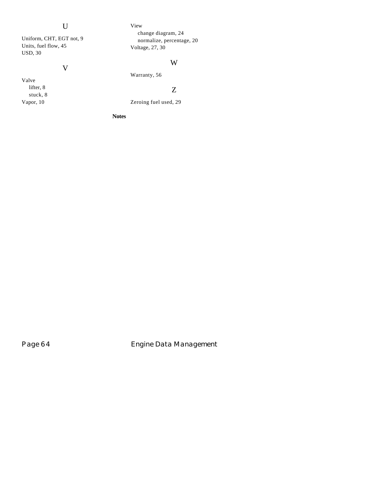# U

Uniform, CHT, EGT not, 9 Units, fuel flow, 45 USD, 30

# V

Valve lifter, 8 stuck, 8 Vapor, 10

#### View

change diagram, 24 normalize, percentage, 20 Voltage, 27, 30

# W

# Z

Zeroing fuel used, 29

Warranty, 56

#### **Notes**

Page 64 **Engine Data Management**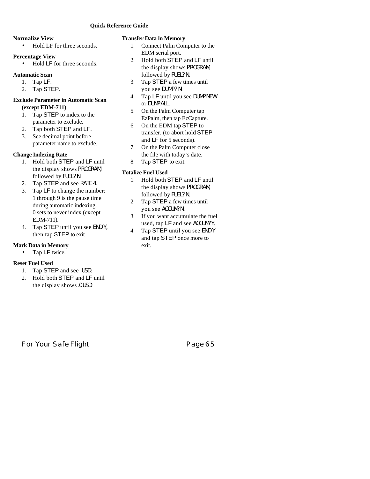#### **Normalize View**

• Hold LF for three seconds.

#### **Percentage View**

• Hold LF for three seconds.

#### **Automatic Scan**

- 1. Tap LF.
- 2. Tap STEP.

#### **Exclude Parameter in Automatic Scan (except EDM-711)**

- 1. Tap STEP to index to the parameter to exclude.
- 2. Tap both STEP and LF.
- 3. See decimal point before parameter name to exclude.

#### **Change Indexing Rate**

- 1. Hold both STEP and LF until the display shows PROGRAM, followed by FUEL?N.
- 2. Tap STEP and see RATE 4.
- 3. Tap LF to change the number: 1 through 9 is the pause time during automatic indexing. 0 sets to never index (except EDM-711).
- 4. Tap STEP until you see END Y, then tap STEP to exit

#### **Mark Data in Memory**

• Tap LF twice.

#### **Reset Fuel Used**

- 1. Tap STEP and see USD.<br>2. Hold both STEP and LF
- 2. Hold both STEP and LF until the display shows .0 USD

#### **Transfer Data in Memory**

- 1. Connect Palm Computer to the EDM serial port.
- 2. Hold both STEP and LF until the display shows PROGRAM, followed by FUEL?N.
- 3. Tap STEP a few times until you see DUMP? N.
- 4. Tap LF until you see DUMP NEW or DUMP ALL.
- 5. On the Palm Computer tap EzPalm, then tap EzCapture.
- 6. On the EDM tap STEP to transfer. (to abort hold STEP and LF for 5 seconds).
- 7. On the Palm Computer close the file with today's date.
- 8. Tap STEP to exit.

#### **Totalize Fuel Used**

- 1. Hold both STEP and LF until the display shows PROGRAM, followed by FUEL?N.
- 2. Tap STEP a few times until you see ACCUM?N.
- 3. If you want accumulate the fuel used, tap LF and see ACCUM?Y.
- 4. Tap STEP until you see END Y and tap STEP once more to exit.